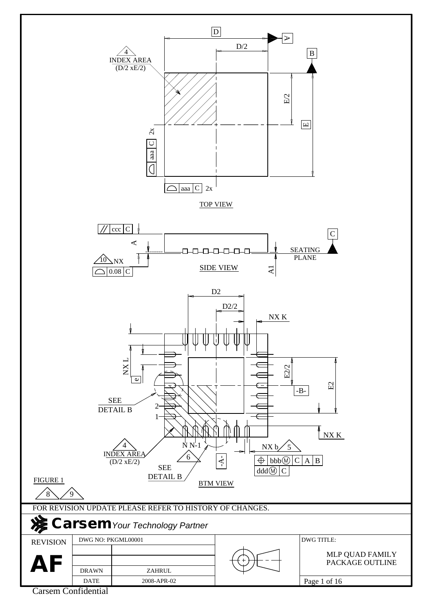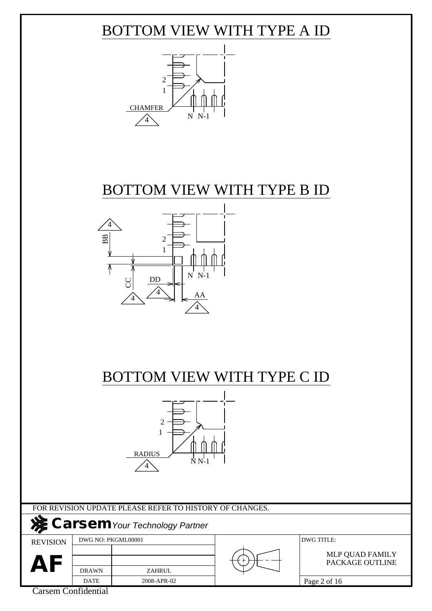## BOTTOM VIEW WITH TYPE A ID



### BOTTOM VIEW WITH TYPE B ID



### BOTTOM VIEW WITH TYPE C ID



FOR REVISION UPDATE PLEASE REFER TO HISTORY OF CHANGES.

2008-APR-02

### **Carsem***Your Technology Partner*

REVISION

DWG NO: PKGML00001 DWG TITLE:

AF **DRAWN** ZAHRUL

PACKAGE OUTLINE MLP QUAD FAMILY

DATE Carsem Confidential

DRAWN

Page 2 of 16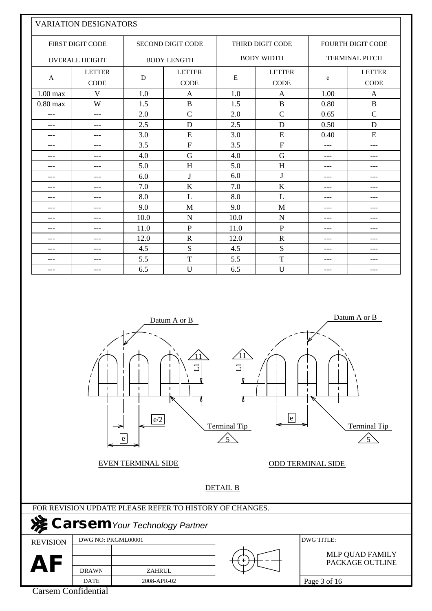|            | VARIATION DESIGNATORS        |      |                              |      |                              |                       |                              |  |
|------------|------------------------------|------|------------------------------|------|------------------------------|-----------------------|------------------------------|--|
|            | <b>FIRST DIGIT CODE</b>      |      | <b>SECOND DIGIT CODE</b>     |      | <b>THIRD DIGIT CODE</b>      |                       | <b>FOURTH DIGIT CODE</b>     |  |
|            | <b>OVERALL HEIGHT</b>        |      | <b>BODY LENGTH</b>           |      | <b>BODY WIDTH</b>            | <b>TERMINAL PITCH</b> |                              |  |
| A          | <b>LETTER</b><br><b>CODE</b> | D    | <b>LETTER</b><br><b>CODE</b> | E    | <b>LETTER</b><br><b>CODE</b> | e                     | <b>LETTER</b><br><b>CODE</b> |  |
| $1.00$ max | V                            | 1.0  | A                            | 1.0  | A                            | 1.00                  | A                            |  |
| $0.80$ max | W                            | 1.5  | $\mathbf{B}$                 | 1.5  | $\overline{B}$               | 0.80                  | $\, {\bf B}$                 |  |
| $---$      | ---                          | 2.0  | $\mathbf C$                  | 2.0  | $\mathcal{C}$                | 0.65                  | $\mathbf C$                  |  |
| $---$      | $---$                        | 2.5  | $\mathbf D$                  | 2.5  | D                            | 0.50                  | D                            |  |
| $---$      | ---                          | 3.0  | ${\bf E}$                    | 3.0  | E                            | 0.40                  | E                            |  |
| $---$      | ---                          | 3.5  | $\overline{F}$               | 3.5  | $\mathbf F$                  | $---$                 | $---$                        |  |
| $---$      | ---                          | 4.0  | G                            | 4.0  | G                            | ---                   | ---                          |  |
| $---$      | ---                          | 5.0  | H                            | 5.0  | H                            | $---$                 | $---$                        |  |
| $---$      | ---                          | 6.0  | $\bf J$                      | 6.0  | $\bf J$                      | $---$                 | $---$                        |  |
| $---$      | ---                          | 7.0  | $\bf K$                      | 7.0  | K                            | ---                   | $---$                        |  |
| $---$      | ---                          | 8.0  | L                            | 8.0  | L                            | $---$                 | $---$                        |  |
| $---$      | ---                          | 9.0  | M                            | 9.0  | M                            | $---$                 | $---$                        |  |
| $---$      | ---                          | 10.0 | $\mathbf N$                  | 10.0 | $\mathbf N$                  | $---$                 | $---$                        |  |
| $---$      | ---                          | 11.0 | $\mathbf{P}$                 | 11.0 | $\mathbf{P}$                 | $---$                 | $---$                        |  |
| $---$      | ---                          | 12.0 | $\mathbf R$                  | 12.0 | $\mathbf R$                  | $---$                 | $---$                        |  |
| $---$      | ---                          | 4.5  | S                            | 4.5  | S                            | ---                   | $---$                        |  |
| $---$      | ---                          | 5.5  | $\mathbf T$                  | 5.5  | T                            | ---                   | ---                          |  |
| $---$      | ---                          | 6.5  | U                            | 6.5  | U                            | ---                   | ---                          |  |

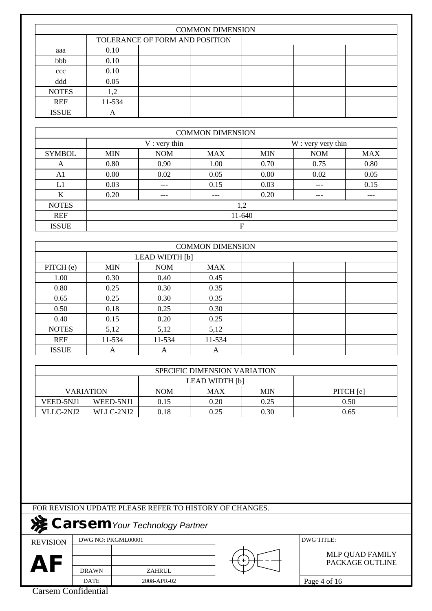|              | <b>COMMON DIMENSION</b>        |  |  |  |  |  |  |  |  |  |  |
|--------------|--------------------------------|--|--|--|--|--|--|--|--|--|--|
|              | TOLERANCE OF FORM AND POSITION |  |  |  |  |  |  |  |  |  |  |
| aaa          | 0.10                           |  |  |  |  |  |  |  |  |  |  |
| bbb          | 0.10                           |  |  |  |  |  |  |  |  |  |  |
| ccc          | 0.10                           |  |  |  |  |  |  |  |  |  |  |
| ddd          | 0.05                           |  |  |  |  |  |  |  |  |  |  |
| <b>NOTES</b> | 1,2                            |  |  |  |  |  |  |  |  |  |  |
| REF          | 11-534                         |  |  |  |  |  |  |  |  |  |  |
| <b>ISSUE</b> | A                              |  |  |  |  |  |  |  |  |  |  |

|                | <b>COMMON DIMENSION</b> |                |      |                                        |      |      |  |  |  |  |  |  |
|----------------|-------------------------|----------------|------|----------------------------------------|------|------|--|--|--|--|--|--|
|                |                         | $V:$ very thin |      | W : very very thin                     |      |      |  |  |  |  |  |  |
| <b>SYMBOL</b>  | <b>MIN</b>              | <b>NOM</b>     | MAX  | <b>NOM</b><br><b>MIN</b><br><b>MAX</b> |      |      |  |  |  |  |  |  |
| A              | 0.80                    | 0.90           | 1.00 | 0.70                                   | 0.75 | 0.80 |  |  |  |  |  |  |
| A <sub>1</sub> | 0.00                    | 0.02           | 0.05 | $0.00\,$                               | 0.02 | 0.05 |  |  |  |  |  |  |
| L1             | 0.03                    |                | 0.15 | 0.03                                   | ---  | 0.15 |  |  |  |  |  |  |
| K              | 0.20                    | ---            | ---  | 0.20                                   | ---  | ---  |  |  |  |  |  |  |
| <b>NOTES</b>   |                         |                |      | 1,2                                    |      |      |  |  |  |  |  |  |
| <b>REF</b>     |                         | 11-640         |      |                                        |      |      |  |  |  |  |  |  |
| <b>ISSUE</b>   |                         |                |      | F                                      |      |      |  |  |  |  |  |  |

|              |            |                | <b>COMMON DIMENSION</b> |  |  |
|--------------|------------|----------------|-------------------------|--|--|
|              |            | LEAD WIDTH [b] |                         |  |  |
| PITCH (e)    | <b>MIN</b> | <b>NOM</b>     | <b>MAX</b>              |  |  |
| 1.00         | 0.30       | 0.40           | 0.45                    |  |  |
| 0.80         | 0.25       | 0.30           | 0.35                    |  |  |
| 0.65         | 0.25       | 0.30           | 0.35                    |  |  |
| 0.50         | 0.18       | 0.25           | 0.30                    |  |  |
| 0.40         | 0.15       | 0.20           | 0.25                    |  |  |
| <b>NOTES</b> | 5,12       | 5,12           | 5,12                    |  |  |
| <b>REF</b>   | 11-534     | 11-534         | 11-534                  |  |  |
| <b>ISSUE</b> | A          | A              | A                       |  |  |

|                  | SPECIFIC DIMENSION VARIATION |            |            |            |           |  |  |  |  |  |  |
|------------------|------------------------------|------------|------------|------------|-----------|--|--|--|--|--|--|
| LEAD WIDTH [b]   |                              |            |            |            |           |  |  |  |  |  |  |
| <b>VARIATION</b> |                              | <b>NOM</b> | <b>MAX</b> | <b>MIN</b> | PITCH [e] |  |  |  |  |  |  |
| VEED-5NJ1        | WEED-5NJ1                    | 0.15       | 0.20       | 0.25       | 0.50      |  |  |  |  |  |  |
| VLLC-2NJ2        | WLLC-2NJ2                    | 0.18       | 0.25       | 0.30       | 0.65      |  |  |  |  |  |  |

2008-APR-02

# **Carsem***Your Technology Partner*

REVISION

DWG NO: PKGML00001 DWG TITLE:

AF **DRAWN** ZAHRUL

#### PACKAGE OUTLINE MLP QUAD FAMILY

DATE Carsem Confidential

DRAWN

Page 4 of 16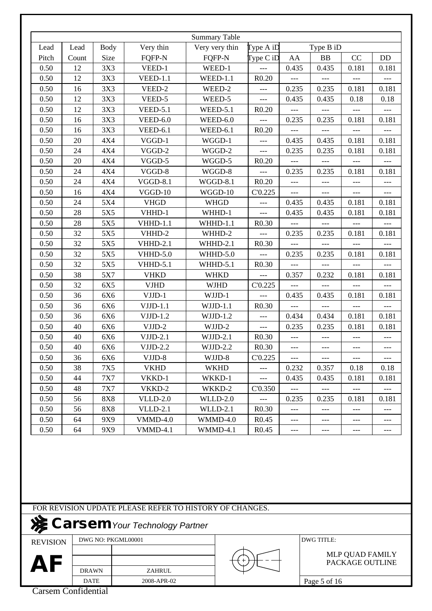| <b>Body</b><br>Size<br>Count<br>3X3<br>3X3<br>3X3<br>3X3<br>3X3<br>3X3<br>3X3<br>4X4<br>4X4<br>4X4<br>4X4<br>4X4<br>4X4 | Very thin<br>FQFP-N<br>VEED-1<br><b>VEED-1.1</b><br>VEED-2<br>VEED-5<br><b>VEED-5.1</b><br>$VEED-6.0$<br><b>VEED-6.1</b><br>VGGD-1<br>VGGD-2<br>VGGD-5<br>VGGD-8 | <b>Summary Table</b><br>Very very thin<br>FQFP-N<br>WEED-1<br>$WEED-1.1$<br>WEED-2<br>WEED-5<br><b>WEED-5.1</b><br>WEED-6.0<br>WEED-6.1<br>WGGD-1<br>WGGD-2                                                                                                      | Type A iD<br>$\Gamma$ ype C iD<br>R0.20<br>---<br>---<br>R0.20<br>R0.20<br>---                                                                                                                                                        | AA<br>0.435<br>---<br>0.235<br>0.435<br>$---$<br>0.235<br>---                                                                                                              | Type B iD<br><b>BB</b><br>0.435<br>0.235<br>0.435<br>$---$<br>0.235                                                  | CC<br>0.181<br>0.181<br>0.18<br>$---$<br>0.181                                              | DD<br>0.181<br>0.181<br>0.18<br>$---$                                               |
|-------------------------------------------------------------------------------------------------------------------------|------------------------------------------------------------------------------------------------------------------------------------------------------------------|------------------------------------------------------------------------------------------------------------------------------------------------------------------------------------------------------------------------------------------------------------------|---------------------------------------------------------------------------------------------------------------------------------------------------------------------------------------------------------------------------------------|----------------------------------------------------------------------------------------------------------------------------------------------------------------------------|----------------------------------------------------------------------------------------------------------------------|---------------------------------------------------------------------------------------------|-------------------------------------------------------------------------------------|
|                                                                                                                         |                                                                                                                                                                  |                                                                                                                                                                                                                                                                  |                                                                                                                                                                                                                                       |                                                                                                                                                                            |                                                                                                                      |                                                                                             |                                                                                     |
|                                                                                                                         |                                                                                                                                                                  |                                                                                                                                                                                                                                                                  |                                                                                                                                                                                                                                       |                                                                                                                                                                            |                                                                                                                      |                                                                                             |                                                                                     |
|                                                                                                                         |                                                                                                                                                                  |                                                                                                                                                                                                                                                                  |                                                                                                                                                                                                                                       |                                                                                                                                                                            |                                                                                                                      |                                                                                             |                                                                                     |
|                                                                                                                         |                                                                                                                                                                  |                                                                                                                                                                                                                                                                  |                                                                                                                                                                                                                                       |                                                                                                                                                                            |                                                                                                                      |                                                                                             |                                                                                     |
|                                                                                                                         |                                                                                                                                                                  |                                                                                                                                                                                                                                                                  |                                                                                                                                                                                                                                       |                                                                                                                                                                            |                                                                                                                      |                                                                                             |                                                                                     |
|                                                                                                                         |                                                                                                                                                                  |                                                                                                                                                                                                                                                                  |                                                                                                                                                                                                                                       |                                                                                                                                                                            |                                                                                                                      |                                                                                             |                                                                                     |
|                                                                                                                         |                                                                                                                                                                  |                                                                                                                                                                                                                                                                  |                                                                                                                                                                                                                                       |                                                                                                                                                                            |                                                                                                                      |                                                                                             |                                                                                     |
|                                                                                                                         |                                                                                                                                                                  |                                                                                                                                                                                                                                                                  |                                                                                                                                                                                                                                       |                                                                                                                                                                            |                                                                                                                      |                                                                                             | 0.181                                                                               |
|                                                                                                                         |                                                                                                                                                                  |                                                                                                                                                                                                                                                                  |                                                                                                                                                                                                                                       |                                                                                                                                                                            | ---                                                                                                                  |                                                                                             |                                                                                     |
|                                                                                                                         |                                                                                                                                                                  |                                                                                                                                                                                                                                                                  |                                                                                                                                                                                                                                       | 0.435                                                                                                                                                                      | 0.435                                                                                                                | 0.181                                                                                       | 0.181                                                                               |
|                                                                                                                         |                                                                                                                                                                  |                                                                                                                                                                                                                                                                  | ---                                                                                                                                                                                                                                   | 0.235                                                                                                                                                                      | 0.235                                                                                                                | 0.181                                                                                       | 0.181                                                                               |
|                                                                                                                         |                                                                                                                                                                  | WGGD-5                                                                                                                                                                                                                                                           | R0.20                                                                                                                                                                                                                                 | ---                                                                                                                                                                        |                                                                                                                      |                                                                                             |                                                                                     |
|                                                                                                                         |                                                                                                                                                                  | WGGD-8                                                                                                                                                                                                                                                           | $---$                                                                                                                                                                                                                                 | 0.235                                                                                                                                                                      | 0.235                                                                                                                | 0.181                                                                                       | 0.181                                                                               |
|                                                                                                                         | $VGGD-8.1$                                                                                                                                                       | WGGD-8.1                                                                                                                                                                                                                                                         | R0.20                                                                                                                                                                                                                                 | ---                                                                                                                                                                        | ---                                                                                                                  | ---                                                                                         |                                                                                     |
|                                                                                                                         | $VGGD-10$                                                                                                                                                        | WGGD-10                                                                                                                                                                                                                                                          | C'0.225                                                                                                                                                                                                                               | $---$                                                                                                                                                                      | $---$                                                                                                                | $---$                                                                                       | $---$                                                                               |
| 5X4                                                                                                                     | <b>VHGD</b>                                                                                                                                                      | <b>WHGD</b>                                                                                                                                                                                                                                                      | ---                                                                                                                                                                                                                                   | 0.435                                                                                                                                                                      | 0.435                                                                                                                | 0.181                                                                                       | 0.181                                                                               |
| 5X5                                                                                                                     | VHHD-1                                                                                                                                                           | WHHD-1                                                                                                                                                                                                                                                           | $---$                                                                                                                                                                                                                                 | 0.435                                                                                                                                                                      | 0.435                                                                                                                | 0.181                                                                                       | 0.181                                                                               |
| 5X5                                                                                                                     | <b>VHHD-1.1</b>                                                                                                                                                  | WHHD-1.1                                                                                                                                                                                                                                                         | R0.30                                                                                                                                                                                                                                 | $---$                                                                                                                                                                      | ---                                                                                                                  | $---$                                                                                       | $---$                                                                               |
| 5X5                                                                                                                     | VHHD-2                                                                                                                                                           | WHHD-2                                                                                                                                                                                                                                                           |                                                                                                                                                                                                                                       |                                                                                                                                                                            |                                                                                                                      | 0.181                                                                                       | 0.181                                                                               |
|                                                                                                                         |                                                                                                                                                                  |                                                                                                                                                                                                                                                                  |                                                                                                                                                                                                                                       | ---                                                                                                                                                                        |                                                                                                                      |                                                                                             |                                                                                     |
|                                                                                                                         |                                                                                                                                                                  |                                                                                                                                                                                                                                                                  | ---                                                                                                                                                                                                                                   |                                                                                                                                                                            |                                                                                                                      |                                                                                             | 0.181                                                                               |
|                                                                                                                         |                                                                                                                                                                  |                                                                                                                                                                                                                                                                  |                                                                                                                                                                                                                                       |                                                                                                                                                                            | $---$                                                                                                                | $---$                                                                                       |                                                                                     |
|                                                                                                                         |                                                                                                                                                                  |                                                                                                                                                                                                                                                                  |                                                                                                                                                                                                                                       |                                                                                                                                                                            |                                                                                                                      |                                                                                             | 0.181                                                                               |
|                                                                                                                         |                                                                                                                                                                  |                                                                                                                                                                                                                                                                  |                                                                                                                                                                                                                                       | $---$                                                                                                                                                                      |                                                                                                                      |                                                                                             |                                                                                     |
|                                                                                                                         |                                                                                                                                                                  |                                                                                                                                                                                                                                                                  |                                                                                                                                                                                                                                       |                                                                                                                                                                            |                                                                                                                      |                                                                                             | 0.181                                                                               |
|                                                                                                                         |                                                                                                                                                                  |                                                                                                                                                                                                                                                                  |                                                                                                                                                                                                                                       | $---$                                                                                                                                                                      | $---$                                                                                                                | $---$                                                                                       | $---$                                                                               |
|                                                                                                                         |                                                                                                                                                                  |                                                                                                                                                                                                                                                                  |                                                                                                                                                                                                                                       |                                                                                                                                                                            |                                                                                                                      |                                                                                             | 0.181                                                                               |
|                                                                                                                         |                                                                                                                                                                  |                                                                                                                                                                                                                                                                  | ---                                                                                                                                                                                                                                   |                                                                                                                                                                            |                                                                                                                      |                                                                                             | 0.181                                                                               |
|                                                                                                                         |                                                                                                                                                                  |                                                                                                                                                                                                                                                                  |                                                                                                                                                                                                                                       |                                                                                                                                                                            |                                                                                                                      |                                                                                             |                                                                                     |
|                                                                                                                         |                                                                                                                                                                  |                                                                                                                                                                                                                                                                  |                                                                                                                                                                                                                                       | $---$                                                                                                                                                                      | ---                                                                                                                  | ---                                                                                         | $---$                                                                               |
|                                                                                                                         |                                                                                                                                                                  |                                                                                                                                                                                                                                                                  |                                                                                                                                                                                                                                       |                                                                                                                                                                            |                                                                                                                      |                                                                                             | ---                                                                                 |
|                                                                                                                         |                                                                                                                                                                  |                                                                                                                                                                                                                                                                  |                                                                                                                                                                                                                                       |                                                                                                                                                                            |                                                                                                                      |                                                                                             | 0.18                                                                                |
|                                                                                                                         |                                                                                                                                                                  |                                                                                                                                                                                                                                                                  | ---                                                                                                                                                                                                                                   |                                                                                                                                                                            |                                                                                                                      |                                                                                             | 0.181                                                                               |
|                                                                                                                         |                                                                                                                                                                  |                                                                                                                                                                                                                                                                  |                                                                                                                                                                                                                                       |                                                                                                                                                                            | $---$                                                                                                                | $---$                                                                                       | $---$                                                                               |
|                                                                                                                         |                                                                                                                                                                  |                                                                                                                                                                                                                                                                  |                                                                                                                                                                                                                                       |                                                                                                                                                                            |                                                                                                                      |                                                                                             | 0.181                                                                               |
|                                                                                                                         |                                                                                                                                                                  |                                                                                                                                                                                                                                                                  |                                                                                                                                                                                                                                       | ---                                                                                                                                                                        | ---                                                                                                                  | ---                                                                                         | $---$                                                                               |
|                                                                                                                         |                                                                                                                                                                  |                                                                                                                                                                                                                                                                  |                                                                                                                                                                                                                                       |                                                                                                                                                                            |                                                                                                                      |                                                                                             | ---                                                                                 |
|                                                                                                                         |                                                                                                                                                                  |                                                                                                                                                                                                                                                                  |                                                                                                                                                                                                                                       |                                                                                                                                                                            | $---$                                                                                                                | $---$                                                                                       | $---$                                                                               |
|                                                                                                                         | 5X5<br>5X5<br>5X5<br>5X7<br>6X5<br>6X6<br>6X6<br>6X6<br>6X6<br>6X6<br>6X6<br>6X6<br>7X5<br>7X7<br>7X7<br><b>8X8</b><br><b>8X8</b><br>9X9<br>9X9                  | VHHD-2.1<br><b>VHHD-5.0</b><br><b>VHHD-5.1</b><br><b>VHKD</b><br><b>VJHD</b><br>VJJD-1<br>$VJJD-1.1$<br>$VJJD-1.2$<br>VJJD-2<br>$VJJD-2.1$<br>$VJJD-2.2$<br>VJJD-8<br><b>VKHD</b><br>VKKD-1<br>VKKD-2<br>$VLLD-2.0$<br>$VLLD-2.1$<br><b>VMMD-4.0</b><br>VMMD-4.1 | WHHD-2.1<br>WHHD-5.0<br>WHHD-5.1<br><b>WHKD</b><br><b>WJHD</b><br>WJJD-1<br>$WJJD-1.1$<br>$WJJD-1.2$<br>WJJD-2<br>$WJJD-2.1$<br>WJJD-2.2<br>WJJD-8<br><b>WKHD</b><br>WKKD-1<br>WKKD-2<br>WLLD-2.0<br>WLLD-2.1<br>WMMD-4.0<br>WMMD-4.1 | R <sub>0.30</sub><br>R <sub>0.30</sub><br>---<br>C'0.225<br>---<br>R <sub>0.30</sub><br>---<br>R0.30<br>R0.30<br>C'0.225<br>C'0.350<br>R <sub>0.30</sub><br>R0.45<br>R0.45 | 0.235<br>0.235<br>$---$<br>0.357<br>0.435<br>0.434<br>0.235<br>---<br>0.232<br>0.435<br>---<br>0.235<br>$---$<br>--- | 0.235<br>0.235<br>0.232<br>0.435<br>0.434<br>0.235<br>---<br>0.357<br>0.435<br>0.235<br>--- | 0.181<br>0.181<br>0.181<br>0.181<br>0.181<br>---<br>0.18<br>0.181<br>0.181<br>$---$ |

REVISION DWG NO: PKGML00001 DWG TITLE:

AF **DRAWN** ZAHRUL

2008-APR-02

PACKAGE OUTLINE MLP QUAD FAMILY

Carsem Confidential

DRAWN DATE

Page 5 of 16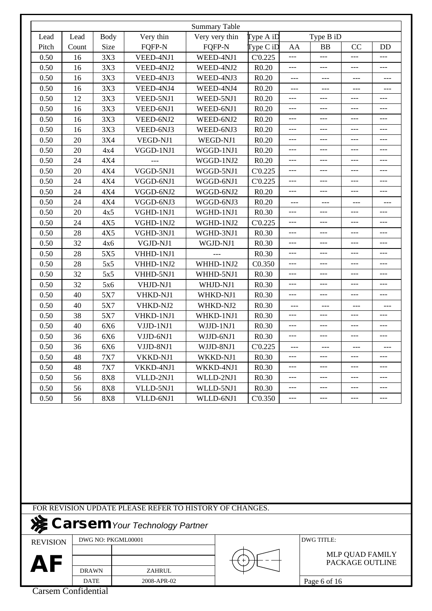|       |       |             |           | <b>Summary Table</b> |                   |       |           |       |       |
|-------|-------|-------------|-----------|----------------------|-------------------|-------|-----------|-------|-------|
| Lead  | Lead  | <b>Body</b> | Very thin | Very very thin       | Type A iD         |       | Type B iD |       |       |
| Pitch | Count | Size        | FQFP-N    | FQFP-N               | Type CiD          | AA    | <b>BB</b> | CC    | DD    |
| 0.50  | 16    | 3X3         | VEED-4NJ1 | WEED-4NJ1            | C'0.225           | $---$ | $---$     | $---$ | ---   |
| 0.50  | 16    | 3X3         | VEED-4NJ2 | WEED-4NJ2            | R0.20             | ---   | $---$     | $---$ | ---   |
| 0.50  | 16    | 3X3         | VEED-4NJ3 | WEED-4NJ3            | R0.20             | $---$ | ---       | $---$ | ---   |
| 0.50  | 16    | 3X3         | VEED-4NJ4 | WEED-4NJ4            | R0.20             | $---$ | $---$     | $---$ | ---   |
| 0.50  | 12    | 3X3         | VEED-5NJ1 | WEED-5NJ1            | R0.20             | $---$ | ---       | $---$ | ---   |
| 0.50  | 16    | 3X3         | VEED-6NJ1 | WEED-6NJ1            | R0.20             | $---$ | $---$     | $---$ | $---$ |
| 0.50  | 16    | 3X3         | VEED-6NJ2 | WEED-6NJ2            | R0.20             | ---   | ---       | $---$ | ---   |
| 0.50  | 16    | 3X3         | VEED-6NJ3 | WEED-6NJ3            | R <sub>0.20</sub> | $---$ | $---$     | $---$ | ---   |
| 0.50  | 20    | 3X4         | VEGD-NJ1  | WEGD-NJ1             | R0.20             | ---   | $---$     | $---$ | $---$ |
| 0.50  | 20    | 4x4         | VGGD-1NJ1 | WGGD-1NJ1            | R0.20             | ---   | ---       | ---   | ---   |
| 0.50  | 24    | 4X4         |           | WGGD-1NJ2            | R0.20             | $---$ | $---$     | $---$ | $---$ |
| 0.50  | 20    | 4X4         | VGGD-5NJ1 | WGGD-5NJ1            | C'0.225           | ---   | ---       | $---$ | ---   |
| 0.50  | 24    | 4X4         | VGGD-6NJ1 | WGGD-6NJ1            | C'0.225           | $---$ | $---$     | $---$ | ---   |
| 0.50  | 24    | 4X4         | VGGD-6NJ2 | WGGD-6NJ2            | R0.20             | $---$ | $---$     | $---$ | ---   |
| 0.50  | 24    | 4X4         | VGGD-6NJ3 | WGGD-6NJ3            | R0.20             | $---$ | ---       | $---$ |       |
| 0.50  | 20    | 4x5         | VGHD-1NJ1 | WGHD-1NJ1            | R <sub>0.30</sub> | $---$ | $---$     | $---$ | $---$ |
| 0.50  | 24    | 4X5         | VGHD-1NJ2 | WGHD-1NJ2            | C'0.225           | ---   | $---$     | $---$ | ---   |
| 0.50  | 28    | 4X5         | VGHD-3NJ1 | WGHD-3NJ1            | R <sub>0.30</sub> | $---$ | ---       | $---$ | ---   |
| 0.50  | 32    | 4x6         | VGJD-NJ1  | WGJD-NJ1             | R <sub>0.30</sub> | $---$ | $---$     | $---$ | $---$ |
| 0.50  | 28    | 5X5         | VHHD-1NJ1 | ---                  | R <sub>0.30</sub> | $---$ | ---       | ---   | ---   |
| 0.50  | 28    | 5x5         | VHHD-1NJ2 | WHHD-1NJ2            | C0.350            | ---   | $---$     | $---$ | ---   |
| 0.50  | 32    | 5x5         | VHHD-5NJ1 | WHHD-5NJ1            | R <sub>0.30</sub> | $---$ | $---$     | $---$ | ---   |
| 0.50  | 32    | 5x6         | VHJD-NJ1  | WHJD-NJ1             | R <sub>0.30</sub> | ---   | ---       | $---$ | ---   |
| 0.50  | 40    | 5X7         | VHKD-NJ1  | WHKD-NJ1             | R <sub>0.30</sub> | ---   | $---$     | $---$ | ---   |
| 0.50  | 40    | 5X7         | VHKD-NJ2  | WHKD-NJ2             | R <sub>0.30</sub> | $---$ | $---$     | $---$ | ---   |
| 0.50  | 38    | 5X7         | VHKD-1NJ1 | WHKD-1NJ1            | R <sub>0.30</sub> | ---   | $---$     | ---   | ---   |
| 0.50  | 40    | 6X6         | VJJD-1NJ1 | WJJD-1NJ1            | R <sub>0.30</sub> | ---   | $---$     | $---$ | ---   |
| 0.50  | 36    | 6X6         | VJJD-6NJ1 | WJJD-6NJ1            | R <sub>0.30</sub> | ---   | ---       | ---   | ---   |
| 0.50  | 36    | 6X6         | VJJD-8NJ1 | WJJD-8NJ1            | C'0.225           | $---$ | $---$     | $---$ | $---$ |
| 0.50  | 48    | 7X7         | VKKD-NJ1  | WKKD-NJ1             | R <sub>0.30</sub> | ---   | $---$     | $---$ | ---   |
| 0.50  | 48    | <b>7X7</b>  | VKKD-4NJ1 | WKKD-4NJ1            | R <sub>0.30</sub> | ---   | ---       | $---$ | ---   |
| 0.50  | 56    | <b>8X8</b>  | VLLD-2NJ1 | WLLD-2NJ1            | R <sub>0.30</sub> | $---$ | ---       | $---$ | $---$ |
| 0.50  | 56    | <b>8X8</b>  | VLLD-5NJ1 | WLLD-5NJ1            | R <sub>0.30</sub> | $---$ | $---$     | $---$ | $---$ |
| 0.50  | 56    | <b>8X8</b>  | VLLD-6NJ1 | WLLD-6NJ1            | C'0.350           | ---   | ---       | ---   | ---   |

FOR REVISION UPDATE PLEASE REFER TO HISTORY OF CHANGES.

### **Carsem** Your Technology Partner

REVISION

DWG NO: PKGML00001 DWG TITLE:

DRAWN DATE 2008-APR-02 AF **DRAWN** ZAHRUL

PACKAGE OUTLINE MLP QUAD FAMILY

Carsem Confidential

Page 6 of 16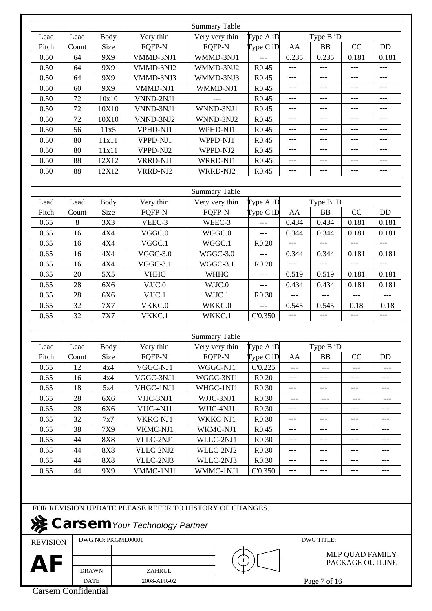|       |       |             |             | <b>Summary Table</b> |                   |       |           |       |           |
|-------|-------|-------------|-------------|----------------------|-------------------|-------|-----------|-------|-----------|
| Lead  | Lead  | <b>Body</b> | Very thin   | Very very thin       | Type A iD         |       | Type B iD |       |           |
| Pitch | Count | Size        | FQFP-N      | FQFP-N               | Type CiD          | AA    | BB        | CC    | <b>DD</b> |
| 0.50  | 64    | 9X9         | VMMD-3NJ1   | WMMD-3NJ1            | ---               | 0.235 | 0.235     | 0.181 | 0.181     |
| 0.50  | 64    | 9X9         | VMMD-3NJ2   | WMMD-3NJ2            | R <sub>0.45</sub> | ---   | ---       | $---$ |           |
| 0.50  | 64    | 9X9         | VMMD-3NJ3   | WMMD-3NJ3            | R <sub>0.45</sub> | $---$ | $---$     | $---$ | $---$     |
| 0.50  | 60    | 9X9         | VMMD-NJ1    | WMMD-NJ1             | R <sub>0.45</sub> | $---$ | $---$     | $---$ | $---$     |
| 0.50  | 72    | 10x10       | VNND-2NJ1   |                      | R <sub>0.45</sub> | ---   | $---$     | $---$ | ---       |
| 0.50  | 72    | 10X10       | VNND-3NJ1   | WNND-3NJ1            | R <sub>0.45</sub> | $---$ | $---$     | $---$ | $---$     |
| 0.50  | 72    | 10X10       | VNND-3NJ2   | WNND-3NJ2            | R <sub>0.45</sub> | $---$ | $---$     | $---$ | $---$     |
| 0.50  | 56    | 11x5        | VPHD-NJ1    | WPHD-NJ1             | R <sub>0.45</sub> | ---   | ---       | $---$ | ---       |
| 0.50  | 80    | 11x11       | VPPD-NJ1    | WPPD-NJ1             | R <sub>0.45</sub> | $---$ | $---$     | $---$ | $---$     |
| 0.50  | 80    | 11x11       | VPPD-NJ2    | WPPD-NJ2             | R <sub>0.45</sub> | ---   | $---$     | ---   | ---       |
| 0.50  | 88    | 12X12       | VRRD-NJ1    | WRRD-NJ1             | R <sub>0.45</sub> | ---   | $---$     | $---$ | ---       |
| 0.50  | 88    | 12X12       | VRRD-NJ2    | WRRD-NJ2             | R <sub>0.45</sub> | $---$ | $---$     | $---$ | $---$     |
|       |       |             |             |                      |                   |       |           |       |           |
|       |       |             |             | <b>Summary Table</b> |                   |       |           |       |           |
| Lead  | Lead  | <b>Body</b> | Very thin   | Very very thin       | Type A iD         |       | Type B iD |       |           |
| Pitch | Count | Size        | FQFP-N      | FQFP-N               | Type C iD         | AA    | BB        | CC    | <b>DD</b> |
| 0.65  | 8     | 3X3         | VEEC-3      | WEEC-3               |                   | 0.434 | 0.434     | 0.181 | 0.181     |
| 0.65  | 16    | 4X4         | VGGC.0      | WGGC.0               | ---               | 0.344 | 0.344     | 0.181 | 0.181     |
| 0.65  | 16    | 4X4         | VGGC.1      | WGGC.1               | R0.20             | ---   | $---$     | $---$ | ---       |
| 0.65  | 16    | 4X4         | $VGGC-3.0$  | WGGC-3.0             | $---$             | 0.344 | 0.344     | 0.181 | 0.181     |
| 0.65  | 16    | 4X4         | $VGGC-3.1$  | WGGC-3.1             | R0.20             | ---   | $---$     | ---   | ---       |
| 0.65  | 20    | 5X5         | <b>VHHC</b> | <b>WHHC</b>          | ---               | 0.519 | 0.519     | 0.181 | 0.181     |
| 0.65  | 28    | 6X6         | VJJC.0      | WJJC.0               | $---$             | 0.434 | 0.434     | 0.181 | 0.181     |
| 0.65  | 28    | 6X6         | VJJC.1      | WJJC.1               | R <sub>0.30</sub> | $---$ | $---$     | $---$ | $---$     |
| 0.65  | 32    | 7X7         | VKKC.0      | WKKC.0               |                   | 0.545 | 0.545     | 0.18  | 0.18      |
| 0.65  | 32    | 7X7         | VKKC.1      | WKKC.1               | C'0.350           | $---$ | $---$     | $---$ | ---       |
|       |       |             |             |                      |                   |       |           |       |           |
|       |       |             |             | <b>Summary Table</b> |                   |       |           |       |           |
| Lead  | Lead  | <b>Body</b> | Very thin   | Very very thin       | Type A iD         |       | Type B iD |       |           |
| Pitch | Count | Size        | FQFP-N      | FQFP-N               | $\Gamma$ ype C iD | AA    | BB        | CC    | DD        |
| 0.65  | 12    | 4x4         | VGGC-NJ1    | WGGC-NJ1             | C'0.225           | $---$ | ---       | $---$ |           |
| 0.65  | 16    | 4x4         | VGGC-3NJ1   | WGGC-3NJ1            | R0.20             | ---   | $---$     | $---$ | ---       |
| 0.65  | 18    | 5x4         | VHGC-1NJ1   | WHGC-1NJ1            | R <sub>0.30</sub> | ---   | ---       | ---   | ---       |
| 0.65  | 28    | 6X6         | VJJC-3NJ1   | WJJC-3NJ1            | R <sub>0.30</sub> | $---$ | $---$     | $---$ | ---       |
| 0.65  | 28    | 6X6         | VJJC-4NJ1   | WJJC-4NJ1            | R <sub>0.30</sub> | ---   | $---$     | ---   | $---$     |
| 0.65  | 32    | 7x7         | VKKC-NJ1    | WKKC-NJ1             | R <sub>0.30</sub> | $---$ | $---$     | $---$ | $---$     |
| 0.65  | 38    | 7X9         | VKMC-NJ1    | WKMC-NJ1             | R <sub>0.45</sub> | ---   | ---       | ---   | ---       |
| 0.65  | 44    | <b>8X8</b>  | VLLC-2NJ1   | WLLC-2NJ1            | R <sub>0.30</sub> | ---   | $---$     | ---   | $---$     |
| 0.65  | 44    | 8X8         | VLLC-2NJ2   | WLLC-2NJ2            | R <sub>0.30</sub> | ---   | $---$     | $---$ | $---$     |
| 0.65  | 44    | <b>8X8</b>  | VLLC-2NJ3   | WLLC-2NJ3            | R <sub>0.30</sub> | $---$ | $---$     | $---$ | $---$     |
| 0.65  | 44    | 9X9         | VMMC-1NJ1   | WMMC-1NJ1            | C'0.350           | ---   | $---$     | ---   | $---$     |
|       |       |             |             |                      |                   |       |           |       |           |

FOR REVISION UPDATE PLEASE REFER TO HISTORY OF CHANGES.

### **Carsem** Your Technology Partner

REVISION

DWG NO: PKGML00001 DWG TITLE:

AF **DRAWN** ZAHRUL

DRAWN DATE 2008-APR-02

Page 7 of 16

PACKAGE OUTLINE MLP QUAD FAMILY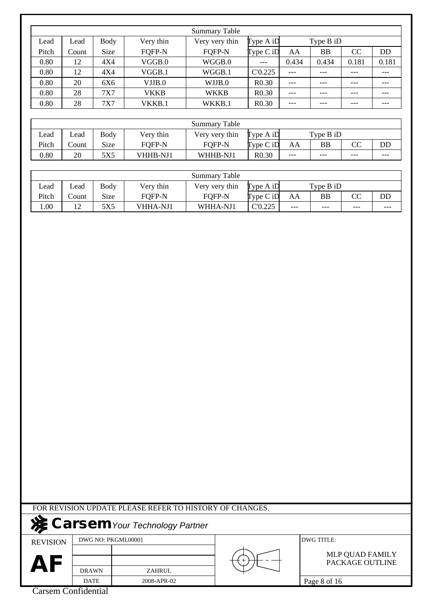|       |       |      |             | <b>Summary Table</b> |                   |       |           |               |           |
|-------|-------|------|-------------|----------------------|-------------------|-------|-----------|---------------|-----------|
| Lead  | Lead  | Body | Very thin   | Very very thin       | Type A iD         |       | Type B iD |               |           |
| Pitch | Count | Size | FOFP-N      | <b>FOFP-N</b>        | $Type C$ iD       | AA    | ΒB        | <sub>CC</sub> | <b>DD</b> |
| 0.80  | 12    | 4X4  | VGGB.0      | WGGB.0               |                   | 0.434 | 0.434     | 0.181         | 0.181     |
| 0.80  | 12    | 4X4  | VGGB.1      | WGGB.1               | C'0.225           | $---$ | ---       | ---           | ---       |
| 0.80  | 20    | 6X6  | VJJB.0      | WJJB.0               | R <sub>0.30</sub> | $---$ |           | ---           |           |
| 0.80  | 28    | 7X7  | <b>VKKB</b> | <b>WKKB</b>          | R <sub>0.30</sub> | $---$ | $---$     | ---           | ---       |
| 0.80  | 28    | 7X7  | VKKB.1      | WKKB.1               | R <sub>0.30</sub> | ---   |           |               |           |

|       |       |      |                 | Summary Table  |                   |           |       |                        |     |
|-------|-------|------|-----------------|----------------|-------------------|-----------|-------|------------------------|-----|
| Lead  | Lead  | Body | Very thin       | Very very thin | Type $A$ iD       | Type B iD |       |                        |     |
| Pitch | Count | Size | FOFP-N          | FOFP-N         | $Type C$ iD       | AA        | BB    | $\overline{\text{CC}}$ | DD  |
| 0.80  | 20    | 5X5  | <b>VHHB-NJ1</b> | WHHB-NJ1       | R <sub>0.30</sub> | $---$     | $---$ | $---$                  | --- |

|       |       |      |                 | Summary Table  |             |       |             |       |       |
|-------|-------|------|-----------------|----------------|-------------|-------|-------------|-------|-------|
| Lead  | ∟ead  | Body | Very thin       | Very very thin | Type $A$ iD |       | Type $B$ iD |       |       |
| Pitch | Count | Size | <b>FOFP-N</b>   | <b>FOFP-N</b>  | Type C iD   | AA    | <b>BB</b>   | ጣ     | DD    |
| 00.1  | 12    | 5X5  | <b>VHHA-NJ1</b> | WHHA-NJ1       | C'0.225     | $---$ | ---         | $---$ | $---$ |

|  |  | FOR REVISION UPDATE PLEASE REFER TO HISTORY OF CHANGES. |
|--|--|---------------------------------------------------------|
|  |  |                                                         |

# **Carsem***Your Technology Partner*

REVISION

DWG NO: PKGML00001 DWG TITLE:

AF **DRAWN** ZAHRUL

2008-APR-02

PACKAGE OUTLINE MLP QUAD FAMILY

Carsem Confidential

DRAWN DATE

Page 8 of 16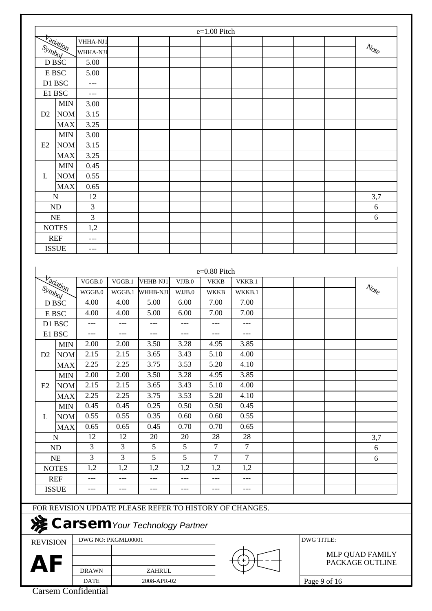|                            |                  |                    |                  |                                                         |                  | $e=1.00$ Pitch             |                  |                   |                                                         |
|----------------------------|------------------|--------------------|------------------|---------------------------------------------------------|------------------|----------------------------|------------------|-------------------|---------------------------------------------------------|
|                            |                  | VHHA-NJ1           |                  |                                                         |                  |                            |                  |                   |                                                         |
| Symbol                     | <b>Variation</b> | WHHA-NJ1           |                  |                                                         |                  |                            |                  |                   | $\mathcal{N}_{\mathcal{O}_{\mathcal{C}}^{k}}$           |
| D BSC                      |                  | 5.00               |                  |                                                         |                  |                            |                  |                   |                                                         |
| E BSC                      |                  | 5.00               |                  |                                                         |                  |                            |                  |                   |                                                         |
| D1 BSC                     |                  | ---                |                  |                                                         |                  |                            |                  |                   |                                                         |
| E1 BSC                     |                  | ---                |                  |                                                         |                  |                            |                  |                   |                                                         |
|                            | <b>MIN</b>       | 3.00               |                  |                                                         |                  |                            |                  |                   |                                                         |
| D2                         | <b>NOM</b>       | 3.15               |                  |                                                         |                  |                            |                  |                   |                                                         |
|                            | <b>MAX</b>       | 3.25               |                  |                                                         |                  |                            |                  |                   |                                                         |
|                            | <b>MIN</b>       | 3.00               |                  |                                                         |                  |                            |                  |                   |                                                         |
| E2                         | <b>NOM</b>       | 3.15               |                  |                                                         |                  |                            |                  |                   |                                                         |
|                            | <b>MAX</b>       | 3.25               |                  |                                                         |                  |                            |                  |                   |                                                         |
|                            | <b>MIN</b>       | 0.45               |                  |                                                         |                  |                            |                  |                   |                                                         |
| L                          | <b>NOM</b>       | 0.55               |                  |                                                         |                  |                            |                  |                   |                                                         |
|                            | <b>MAX</b>       | 0.65               |                  |                                                         |                  |                            |                  |                   |                                                         |
| N                          |                  | 12                 |                  |                                                         |                  |                            |                  |                   | 3,7                                                     |
| <b>ND</b>                  |                  | 3                  |                  |                                                         |                  |                            |                  |                   | 6                                                       |
| <b>NE</b>                  |                  | 3                  |                  |                                                         |                  |                            |                  |                   | 6                                                       |
|                            |                  |                    |                  |                                                         |                  |                            |                  |                   |                                                         |
| <b>NOTES</b><br><b>REF</b> |                  | 1,2                |                  |                                                         |                  |                            |                  |                   |                                                         |
|                            |                  | ---                |                  |                                                         |                  |                            |                  |                   |                                                         |
| <b>ISSUE</b>               |                  | $---$              |                  |                                                         |                  |                            |                  |                   |                                                         |
| Symbol                     | <b>Variation</b> | VGGB.0<br>WGGB.0   | VGGB.1<br>WGGB.1 | VHHB-NJ1<br>WHHB-NJ1                                    | VJJB.0<br>WJJB.0 | <b>VKKB</b><br><b>WKKB</b> | VKKB.1<br>WKKB.1 |                   | $\mathcal{N}_{\mathcal{O}_{\mathcal{E}_{\mathcal{C}}}}$ |
| D BSC                      |                  | 4.00               | 4.00             | 5.00                                                    | 6.00             | 7.00                       | 7.00             |                   |                                                         |
| E BSC                      |                  | 4.00               | 4.00             | 5.00                                                    | 6.00             | 7.00                       | 7.00             |                   |                                                         |
| D1 BSC                     |                  | ---                | ---              | ---                                                     | $---$            | $---$                      | $---$            |                   |                                                         |
| E1 BSC                     |                  | $---$              | ---              | $---$                                                   | $---$            | $---$                      | $---$            |                   |                                                         |
|                            | <b>MIN</b>       | 2.00               | 2.00             | 3.50                                                    | 3.28             | 4.95                       | 3.85             |                   |                                                         |
| D <sub>2</sub>             | <b>NOM</b>       | 2.15               | 2.15             | 3.65                                                    | 3.43             | 5.10                       | 4.00             |                   |                                                         |
|                            | <b>MAX</b>       | 2.25               | 2.25             | 3.75                                                    | 3.53             | 5.20                       | 4.10             |                   |                                                         |
|                            | <b>MIN</b>       | 2.00               | 2.00             | 3.50                                                    | 3.28             | 4.95                       | 3.85             |                   |                                                         |
| E2                         | <b>NOM</b>       | 2.15               | 2.15             | 3.65                                                    | 3.43             | 5.10                       | 4.00             |                   |                                                         |
|                            | <b>MAX</b>       | 2.25               | 2.25             | 3.75                                                    | 3.53             | 5.20                       | 4.10             |                   |                                                         |
|                            | <b>MIN</b>       | 0.45               | 0.45             | 0.25                                                    | 0.50             | 0.50                       | 0.45             |                   |                                                         |
| L                          | <b>NOM</b>       | 0.55               | 0.55             | 0.35                                                    | 0.60             | 0.60                       | 0.55             |                   |                                                         |
|                            | <b>MAX</b>       | 0.65               | 0.65             | 0.45                                                    | 0.70             | 0.70                       | 0.65             |                   |                                                         |
| $\mathbf N$                |                  | 12                 | 12               | 20                                                      | 20               | 28                         | 28               |                   | 3,7                                                     |
| ND                         |                  | $\overline{3}$     | 3                | $\overline{5}$                                          | $\overline{5}$   | $\overline{7}$             | $\overline{7}$   |                   | 6                                                       |
| NE                         |                  | $\overline{3}$     | $\overline{3}$   | $\overline{5}$                                          | $\overline{5}$   | $\overline{7}$             | $\overline{7}$   |                   | 6                                                       |
| <b>NOTES</b>               |                  | 1,2                | 1,2              | 1,2                                                     | 1,2              | 1,2                        | 1,2              |                   |                                                         |
| <b>REF</b>                 |                  | ---                | ---              | ---                                                     | ---              | ---                        | ---              |                   |                                                         |
| <b>ISSUE</b>               |                  | $---$              | ---              | $---$                                                   | $---$            | $---$                      | $---$            |                   |                                                         |
|                            |                  |                    |                  |                                                         |                  |                            |                  |                   |                                                         |
|                            |                  |                    |                  | FOR REVISION UPDATE PLEASE REFER TO HISTORY OF CHANGES. |                  |                            |                  |                   |                                                         |
| No.                        |                  |                    |                  | <b>Carsem</b> Your Technology Partner                   |                  |                            |                  |                   |                                                         |
| <b>REVISION</b>            |                  | DWG NO: PKGML00001 |                  |                                                         |                  |                            |                  | <b>DWG TITLE:</b> |                                                         |

REVISION

PACKAGE OUTLINE MLP QUAD FAMILY

AF **DRAWN** ZAHRUL

DRAWN DATE 2008-APR-02

Page 9 of 16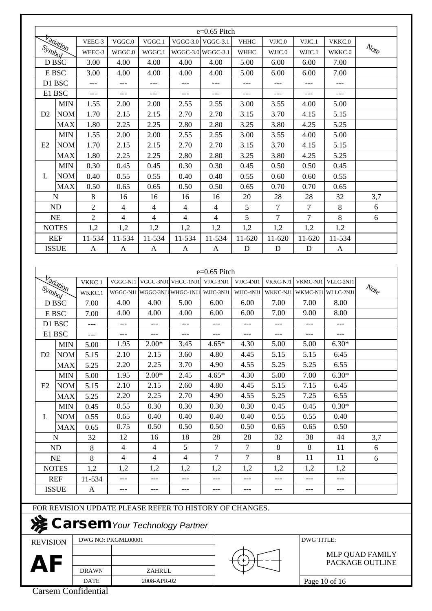|                 |                  |                |                    |                |                                                         | $e=0.65$ Pitch |                |          |                    |                 |                                                         |
|-----------------|------------------|----------------|--------------------|----------------|---------------------------------------------------------|----------------|----------------|----------|--------------------|-----------------|---------------------------------------------------------|
|                 | <b>Variation</b> | VEEC-3         | VGGC.0             | VGGC.1         | $VGGC-3.0$                                              | $VGGC-3.1$     | <b>VHHC</b>    | VJJC.0   | VJJC.1             | VKKC.0          |                                                         |
| Symbol          |                  | WEEC-3         | WGGC.0             | WGGC.1         | WGGC-3.0 WGGC-3.1                                       |                | <b>WHHC</b>    | WJJC.0   | WJJC.1             | WKKC.0          | $\mathcal{N}_{\mathrm{O}f_{\mathrm{C}}}$                |
|                 | D BSC            | 3.00           | 4.00               | 4.00           | 4.00                                                    | 4.00           | 5.00           | 6.00     | 6.00               | 7.00            |                                                         |
|                 | E BSC            | 3.00           | 4.00               | 4.00           | 4.00                                                    | 4.00           | 5.00           | 6.00     | 6.00               | 7.00            |                                                         |
|                 | D1 BSC           | ---            | ---                | $---$          | ---                                                     | ---            | ---            | ---      | ---                | ---             |                                                         |
|                 | E1 BSC           | $---$          | $---$              | ---            | ---                                                     | $---$          | $---$          | $---$    | ---                | $---$           |                                                         |
|                 | <b>MIN</b>       | 1.55           | 2.00               | 2.00           | 2.55                                                    | 2.55           | 3.00           | 3.55     | 4.00               | 5.00            |                                                         |
| D2              | <b>NOM</b>       | 1.70           | 2.15               | 2.15           | 2.70                                                    | 2.70           | 3.15           | 3.70     | 4.15               | 5.15            |                                                         |
|                 | <b>MAX</b>       | 1.80           | 2.25               | 2.25           | 2.80                                                    | 2.80           | 3.25           | 3.80     | 4.25               | 5.25            |                                                         |
|                 | <b>MIN</b>       | 1.55           | 2.00               | 2.00           | 2.55                                                    | 2.55           | 3.00           | 3.55     | 4.00               | 5.00            |                                                         |
| E2              | <b>NOM</b>       | 1.70           | 2.15               | 2.15           | 2.70                                                    | 2.70           | 3.15           | 3.70     | 4.15               | 5.15            |                                                         |
|                 | <b>MAX</b>       | 1.80           | 2.25               | 2.25           | 2.80                                                    | 2.80           | 3.25           | 3.80     | 4.25               | 5.25            |                                                         |
|                 | <b>MIN</b>       | 0.30           | 0.45               | 0.45           | 0.30                                                    | 0.30           | 0.45           | 0.50     | 0.50               | 0.45            |                                                         |
| L               | <b>NOM</b>       | 0.40           | 0.55               | 0.55           | 0.40                                                    | 0.40           | 0.55           | 0.60     | 0.60               | 0.55            |                                                         |
|                 | <b>MAX</b>       | 0.50           | 0.65               | 0.65           | 0.50                                                    | 0.50           | 0.65           | 0.70     | 0.70               | 0.65            |                                                         |
|                 | N                | 8              | 16                 | 16             | 16                                                      | 16             | 20             | 28       | 28                 | 32              | 3,7                                                     |
|                 | <b>ND</b>        | $\overline{2}$ | $\overline{4}$     | $\overline{4}$ | $\overline{4}$                                          | 4              | 5              | $\tau$   | $\overline{7}$     | 8               | 6                                                       |
|                 | <b>NE</b>        | $\mathfrak{2}$ | $\overline{4}$     | $\overline{4}$ | $\overline{4}$                                          | $\overline{4}$ | 5              | 7        | $\overline{7}$     | $8\,$           | 6                                                       |
|                 | <b>NOTES</b>     | 1,2            | 1,2                | 1,2            | 1,2                                                     | 1,2            | 1,2            | 1,2      | 1,2                | 1,2             |                                                         |
|                 | <b>REF</b>       | 11-534         | 11-534             | 11-534         | 11-534                                                  | 11-534         | 11-620         | 11-620   | 11-620             | 11-534          |                                                         |
|                 | <b>ISSUE</b>     | A              | A                  | A              | A                                                       | A              | D              | D        | D                  | $\mathbf{A}$    |                                                         |
|                 |                  |                |                    |                |                                                         |                |                |          |                    |                 |                                                         |
|                 |                  |                |                    |                |                                                         | e=0.65 Pitch   |                |          |                    |                 |                                                         |
|                 |                  | VKKC.1         | VGGC-NJ1           |                | VGGC-3NJ1 VHGC-1NJ1                                     | VJJC-3NJ1      | VJJC-4NJ1      | VKKC-NJ1 | VKMC-NJ1           | VLLC-2NJ1       |                                                         |
| Symbol          | <b>Variation</b> | WKKC.1         |                    |                | WGGC-NJ1 WGGC-3NJ1 WHGC-1NJ1                            | WJJC-3NJ1      | WJJC-4NJ1      | WKKC-NJ1 | WKMC-NJ1 WLLC-2NJ1 |                 | $\mathcal{N}_{\mathcal{O}_{\mathcal{E}_{\mathcal{C}}}}$ |
|                 | D BSC            | 7.00           | 4.00               | 4.00           | 5.00                                                    | 6.00           | 6.00           | 7.00     | 7.00               | 8.00            |                                                         |
|                 | E BSC            | 7.00           | 4.00               | 4.00           | 4.00                                                    | 6.00           | 6.00           | 7.00     | 9.00               | 8.00            |                                                         |
|                 | D1 BSC           | $---$          | ---                | $---$          | $---$                                                   | $---$          | ---            | $---$    | $---$              | $---$           |                                                         |
|                 | E1 BSC           | ---            | ---                | $---$          | $---$                                                   | $---$          | $---$          | ---      | $---$              | $---$           |                                                         |
|                 | <b>MIN</b>       | 5.00           | 1.95               | $2.00*$        | 3.45                                                    | $4.65*$        | 4.30           | 5.00     | 5.00               | $6.30*$         |                                                         |
| D2              | <b>NOM</b>       | 5.15           | 2.10               | 2.15           | 3.60                                                    | 4.80           | 4.45           | 5.15     | 5.15               | 6.45            |                                                         |
|                 | <b>MAX</b>       | 5.25           | 2.20               | 2.25           | 3.70                                                    | 4.90           | 4.55           | 5.25     | 5.25               | 6.55            |                                                         |
|                 | <b>MIN</b>       | 5.00           | 1.95               | $2.00*$        | 2.45                                                    | $4.65*$        | 4.30           | 5.00     | 7.00               | $6.30*$         |                                                         |
| E2              | <b>NOM</b>       | 5.15           | 2.10               | 2.15           | 2.60                                                    | 4.80           | 4.45           | 5.15     | 7.15               | 6.45            |                                                         |
|                 | <b>MAX</b>       | 5.25           | 2.20               | 2.25           | 2.70                                                    | 4.90           | 4.55           | 5.25     | 7.25               | 6.55            |                                                         |
|                 | <b>MIN</b>       | 0.45           | 0.55               | 0.30           | 0.30                                                    | 0.30           | 0.30           | 0.45     | 0.45               | $0.30*$         |                                                         |
| L               | <b>NOM</b>       | 0.55           | 0.65               | 0.40           | 0.40                                                    | 0.40           | 0.40           | 0.55     | 0.55               | 0.40            |                                                         |
|                 | <b>MAX</b>       | 0.65           | 0.75               | 0.50           | 0.50                                                    | 0.50           | 0.50           | 0.65     | 0.65               | 0.50            |                                                         |
|                 | N                | 32             | 12                 | 16             | 18                                                      | 28             | 28             | 32       | 38                 | 44              | 3,7                                                     |
|                 | <b>ND</b>        | 8              | $\overline{4}$     | 4              | 5                                                       | 7              | 7              | 8        | 8                  | 11              | 6                                                       |
|                 | NE               | 8              | $\overline{4}$     | 4              | $\overline{4}$                                          | 7              | $\overline{7}$ | $8\,$    | 11                 | 11              | 6                                                       |
|                 | <b>NOTES</b>     | 1,2            | 1,2                | 1,2            | 1,2                                                     | 1,2            | 1,2            | 1,2      | 1,2                | 1,2             |                                                         |
|                 | <b>REF</b>       | 11-534         | ---                | ---            | ---                                                     | ---            |                |          |                    |                 |                                                         |
|                 | <b>ISSUE</b>     | A              | ---                |                | ---                                                     | ---            | ---            | ---      | ---                | ---             |                                                         |
|                 |                  |                |                    |                |                                                         |                |                |          |                    |                 |                                                         |
|                 |                  |                |                    |                | FOR REVISION UPDATE PLEASE REFER TO HISTORY OF CHANGES. |                |                |          |                    |                 |                                                         |
|                 |                  |                |                    |                | Carsem Your Technology Partner                          |                |                |          |                    |                 |                                                         |
| <b>REVISION</b> |                  |                | DWG NO: PKGML00001 |                |                                                         |                |                |          | <b>DWG TITLE:</b>  |                 |                                                         |
|                 |                  |                |                    |                |                                                         |                |                |          |                    |                 | MLP QUAD FAMILY                                         |
| AF              |                  |                |                    |                |                                                         |                |                |          |                    | PACKAGE OUTLINE |                                                         |
|                 |                  | <b>DRAWN</b>   |                    | ZAHRUL         |                                                         |                |                |          |                    |                 |                                                         |

DATE

2008-APR-02

Page 10 of 16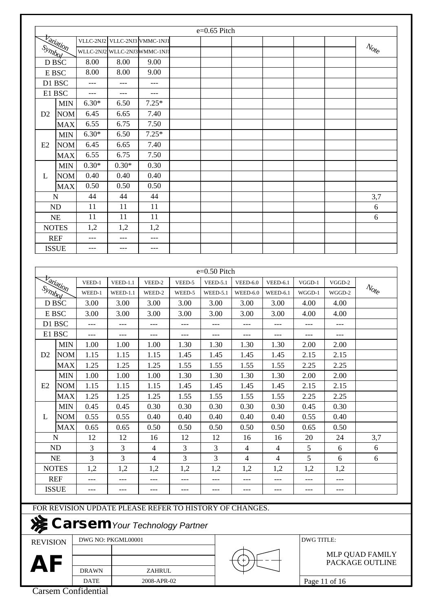|                 |                  |              |                               |                                                                                           |        | e=0.65 Pitch                    |                |                 |                   |                                    |                                                      |
|-----------------|------------------|--------------|-------------------------------|-------------------------------------------------------------------------------------------|--------|---------------------------------|----------------|-----------------|-------------------|------------------------------------|------------------------------------------------------|
|                 | <b>Variation</b> |              |                               | VLLC-2NJ2 VLLC-2NJ3 VMMC-1NJ1                                                             |        |                                 |                |                 |                   |                                    | $\mathcal{N}_{\mathrm{O\!f}_{\mathrm{C}}}$           |
| Symbol          |                  |              | WLLC-2NJ2 WLLC-2NJ3 WMMC-1NJ1 |                                                                                           |        |                                 |                |                 |                   |                                    |                                                      |
|                 | D BSC            | 8.00         | 8.00                          | 9.00                                                                                      |        |                                 |                |                 |                   |                                    |                                                      |
|                 | E BSC            | 8.00         | 8.00                          | 9.00                                                                                      |        |                                 |                |                 |                   |                                    |                                                      |
|                 | D1 BSC           | $---$        | $---$                         | $---$                                                                                     |        |                                 |                |                 |                   |                                    |                                                      |
|                 | E1 BSC           | $---$        | ---                           | ---                                                                                       |        |                                 |                |                 |                   |                                    |                                                      |
|                 | <b>MIN</b>       | $6.30*$      | 6.50                          | $7.25*$                                                                                   |        |                                 |                |                 |                   |                                    |                                                      |
| D2              | <b>NOM</b>       | 6.45         | 6.65                          | 7.40                                                                                      |        |                                 |                |                 |                   |                                    |                                                      |
|                 | <b>MAX</b>       | 6.55         | 6.75                          | 7.50                                                                                      |        |                                 |                |                 |                   |                                    |                                                      |
|                 | <b>MIN</b>       | $6.30*$      | 6.50                          | $7.25*$                                                                                   |        |                                 |                |                 |                   |                                    |                                                      |
| E2              | <b>NOM</b>       | 6.45         | 6.65                          | 7.40                                                                                      |        |                                 |                |                 |                   |                                    |                                                      |
|                 | <b>MAX</b>       | 6.55         | 6.75                          | 7.50                                                                                      |        |                                 |                |                 |                   |                                    |                                                      |
|                 | <b>MIN</b>       | $0.30*$      | $0.30*$                       | 0.30                                                                                      |        |                                 |                |                 |                   |                                    |                                                      |
| L               | <b>NOM</b>       | 0.40         | 0.40                          | 0.40                                                                                      |        |                                 |                |                 |                   |                                    |                                                      |
|                 | <b>MAX</b>       | 0.50         | 0.50                          | 0.50                                                                                      |        |                                 |                |                 |                   |                                    |                                                      |
|                 | $\mathbf N$      | 44           | 44                            | 44                                                                                        |        |                                 |                |                 |                   |                                    | 3,7                                                  |
|                 | <b>ND</b>        | 11           | 11                            | 11                                                                                        |        |                                 |                |                 |                   |                                    | 6                                                    |
|                 | <b>NE</b>        | 11           | 11                            | 11                                                                                        |        |                                 |                |                 |                   |                                    | 6                                                    |
|                 | <b>NOTES</b>     | 1,2          | 1,2                           | 1,2                                                                                       |        |                                 |                |                 |                   |                                    |                                                      |
|                 | <b>REF</b>       | ---          | ---                           | $---$                                                                                     |        |                                 |                |                 |                   |                                    |                                                      |
|                 | <b>ISSUE</b>     | $---$        | $---$                         | $---$                                                                                     |        |                                 |                |                 |                   |                                    |                                                      |
|                 | <b>Variation</b> | VEED-1       | $VEED-1.1$                    | VEED-2                                                                                    | VEED-5 | e=0.50 Pitch<br><b>VEED-5.1</b> | $VEED-6.0$     | <b>VEED-6.1</b> | $VGGD-1$          | VGGD-2                             |                                                      |
| Symbol          |                  | WEED-1       | WEED-1.1                      | WEED-2                                                                                    | WEED-5 | WEED-5.1                        | WEED-6.0       | WEED-6.1        | WGGD-1            | WGGD-2                             | $\mathcal{N}_{\mathcal{O}_{\mathsf{f}_\mathcal{C}}}$ |
|                 | D BSC            | 3.00         | 3.00                          | 3.00                                                                                      | 3.00   | 3.00                            | 3.00           | 3.00            | 4.00              | 4.00                               |                                                      |
|                 | E BSC            | 3.00         | 3.00                          | 3.00                                                                                      | 3.00   | 3.00                            | 3.00           | 3.00            | 4.00              | 4.00                               |                                                      |
|                 | D1 BSC           | $---$        | $---$                         | $---$                                                                                     | $---$  | $---$                           | $---$          | $---$           | $---$             | $---$                              |                                                      |
|                 | E1 BSC           | ---          | ---                           | ---                                                                                       | $---$  | ---                             | $---$          | ---             | ---               | $---$                              |                                                      |
|                 | <b>MIN</b>       | 1.00         | 1.00                          | 1.00                                                                                      | 1.30   | 1.30                            | 1.30           | 1.30            | 2.00              | 2.00                               |                                                      |
| D <sub>2</sub>  | <b>NOM</b>       | 1.15         | 1.15                          | 1.15                                                                                      | 1.45   | 1.45                            | 1.45           | 1.45            | 2.15              | 2.15                               |                                                      |
|                 | <b>MAX</b>       | 1.25         | 1.25                          | 1.25                                                                                      | 1.55   | 1.55                            | 1.55           | 1.55            | 2.25              | 2.25                               |                                                      |
|                 | <b>MIN</b>       | 1.00         | 1.00                          | 1.00                                                                                      | 1.30   | 1.30                            | 1.30           | 1.30            | 2.00              | 2.00                               |                                                      |
| E2              | <b>NOM</b>       | 1.15         | 1.15                          | 1.15                                                                                      | 1.45   | 1.45                            | 1.45           | 1.45            | 2.15              | 2.15                               |                                                      |
|                 | <b>MAX</b>       | 1.25         | 1.25                          | 1.25                                                                                      | 1.55   | 1.55                            | 1.55           | 1.55            | 2.25              | 2.25                               |                                                      |
|                 | <b>MIN</b>       | 0.45         | 0.45                          | 0.30                                                                                      | 0.30   | 0.30                            | 0.30           | 0.30            | 0.45              | 0.30                               |                                                      |
| L               | <b>NOM</b>       | 0.55         | 0.55                          | 0.40                                                                                      | 0.40   | 0.40                            | 0.40           | 0.40            | 0.55              | 0.40                               |                                                      |
|                 | <b>MAX</b>       | 0.65         | 0.65                          | 0.50                                                                                      | 0.50   | 0.50                            | 0.50           | 0.50            | 0.65              | 0.50                               |                                                      |
|                 | N                | 12           | 12                            | 16                                                                                        | 12     | 12                              | 16             | 16              | 20                | 24                                 | 3,7                                                  |
|                 | ND               | 3            | 3                             | $\overline{4}$                                                                            | 3      | 3                               | $\overline{4}$ | $\overline{4}$  | 5                 | 6                                  | 6                                                    |
|                 | NE               | 3            | 3                             | $\overline{4}$                                                                            | 3      | 3                               | $\overline{4}$ | $\overline{4}$  | 5                 | 6                                  | 6                                                    |
|                 | <b>NOTES</b>     | 1,2          | 1,2                           | 1,2                                                                                       | 1,2    | 1,2                             | 1,2            | 1,2             | 1,2               | 1,2                                |                                                      |
|                 | <b>REF</b>       | ---          | ---                           | $---$                                                                                     | ---    | $---$                           | ---            | ---             | ---               | $---$                              |                                                      |
|                 | <b>ISSUE</b>     | $---$        | $---$                         | $---$                                                                                     | ---    | $---$                           | $---$          | $---$           | ---               | $- -$                              |                                                      |
|                 |                  |              |                               |                                                                                           |        |                                 |                |                 |                   |                                    |                                                      |
|                 |                  |              |                               | FOR REVISION UPDATE PLEASE REFER TO HISTORY OF CHANGES.<br>Carsem Your Technology Partner |        |                                 |                |                 |                   |                                    |                                                      |
| <b>REVISION</b> |                  |              | DWG NO: PKGML00001            |                                                                                           |        |                                 |                |                 | <b>DWG TITLE:</b> |                                    |                                                      |
| AF              |                  |              |                               |                                                                                           |        |                                 |                |                 |                   | MLP QUAD FAMILY<br>PACKAGE OUTLINE |                                                      |
|                 |                  | <b>DRAWN</b> |                               | ZAHRUL                                                                                    |        |                                 |                |                 |                   |                                    |                                                      |
|                 |                  |              |                               |                                                                                           |        |                                 |                |                 |                   |                                    |                                                      |

Page 11 of 16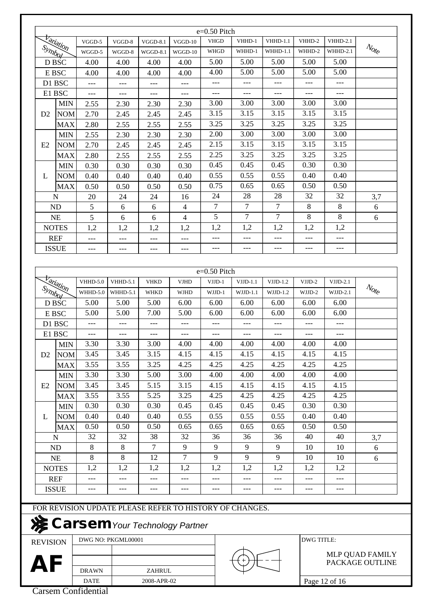|                 |                  |                 |                    |             |                                                                                                  | e=0.50 Pitch   |                |                |                   |                 |                                                         |
|-----------------|------------------|-----------------|--------------------|-------------|--------------------------------------------------------------------------------------------------|----------------|----------------|----------------|-------------------|-----------------|---------------------------------------------------------|
|                 | <b>Variation</b> | VGGD-5          | VGGD-8             | $VGGD-8.1$  | $VGGD-10$                                                                                        | <b>VHGD</b>    | VHHD-1         | $VHHD-1.1$     | VHHD-2            | <b>VHHD-2.1</b> |                                                         |
|                 | Symbol           | WGGD-5          | WGGD-8             | $WGGD-8.1$  | WGGD-10                                                                                          | <b>WHGD</b>    | WHHD-1         | WHHD-1.1       | WHHD-2            | WHHD-2.1        | $\mathcal{N}_{\mathcal{O}_{\mathcal{E}_{\mathcal{C}}}}$ |
|                 | D BSC            | 4.00            | 4.00               | 4.00        | 4.00                                                                                             | 5.00           | 5.00           | 5.00           | 5.00              | 5.00            |                                                         |
|                 | E BSC            | 4.00            | 4.00               | 4.00        | 4.00                                                                                             | 4.00           | 5.00           | 5.00           | 5.00              | 5.00            |                                                         |
|                 | D1 BSC           | ---             | $---$              | ---         | ---                                                                                              | ---            | $---$          | ---            | $---$             | ---             |                                                         |
|                 | E1 BSC           | $---$           | $---$              | $---$       | $---$                                                                                            | $---$          | $---$          | ---            | $---$             | $---$           |                                                         |
|                 | <b>MIN</b>       | 2.55            | 2.30               | 2.30        | 2.30                                                                                             | 3.00           | 3.00           | 3.00           | 3.00              | 3.00            |                                                         |
| D2              | <b>NOM</b>       | 2.70            | 2.45               | 2.45        | 2.45                                                                                             | 3.15           | 3.15           | 3.15           | 3.15              | 3.15            |                                                         |
|                 | <b>MAX</b>       | 2.80            | 2.55               | 2.55        | 2.55                                                                                             | 3.25           | 3.25           | 3.25           | 3.25              | 3.25            |                                                         |
|                 | <b>MIN</b>       | 2.55            | 2.30               | 2.30        | 2.30                                                                                             | 2.00           | 3.00           | 3.00           | 3.00              | 3.00            |                                                         |
| E2              | <b>NOM</b>       | 2.70            | 2.45               | 2.45        | 2.45                                                                                             | 2.15           | 3.15           | 3.15           | 3.15              | 3.15            |                                                         |
|                 | <b>MAX</b>       | 2.80            | 2.55               | 2.55        | 2.55                                                                                             | 2.25           | 3.25           | 3.25           | 3.25              | 3.25            |                                                         |
|                 | <b>MIN</b>       | 0.30            | 0.30               | 0.30        | 0.30                                                                                             | 0.45           | 0.45           | 0.45           | 0.30              | 0.30            |                                                         |
| L               | <b>NOM</b>       | 0.40            | 0.40               | 0.40        | 0.40                                                                                             | 0.55           | 0.55           | 0.55           | 0.40              | 0.40            |                                                         |
|                 | <b>MAX</b>       | 0.50            | 0.50               | 0.50        | 0.50                                                                                             | 0.75           | 0.65           | 0.65           | 0.50              | 0.50            |                                                         |
|                 | N                | 20              | 24                 | 24          | 16                                                                                               | 24             | 28             | 28             | 32                | 32              | 3,7                                                     |
|                 | <b>ND</b>        | 5               |                    | 6           | $\overline{4}$                                                                                   | $\overline{7}$ | $\overline{7}$ | $\tau$         | 8                 | 8               | 6                                                       |
|                 |                  |                 | 6                  |             | $\overline{4}$                                                                                   | 5              | $\overline{7}$ | $\overline{7}$ | 8                 | 8               | 6                                                       |
|                 | <b>NE</b>        | 5               | 6                  | 6           |                                                                                                  |                |                |                |                   |                 |                                                         |
|                 | <b>NOTES</b>     | 1,2             | 1,2                | 1,2         | 1,2                                                                                              | 1,2            | 1,2            | 1,2            | 1,2               | 1,2             |                                                         |
|                 | <b>REF</b>       | $---$           | $---$              | $---$       | $---$                                                                                            | ---            | $---$          | ---            | $---$             | ---             |                                                         |
|                 | <b>ISSUE</b>     | ---             | $---$              | ---         | ---                                                                                              | ---            | $---$          | $---$          | ---               | $---$           |                                                         |
|                 | <b>Variation</b> | <b>VHHD-5.0</b> | VHHD-5.1           | <b>VHKD</b> | <b>VJHD</b>                                                                                      | VJJD-1         | $VJJD-1.1$     | $VJJD-1.2$     | VJJD-2            | $VJJD-2.1$      | $\mathcal{N}_{\mathrm{O\!f}_{\mathrm{C}}}$              |
| Symbol          |                  | WHHD-5.0        | WHHD-5.1           | <b>WHKD</b> | <b>WJHD</b>                                                                                      | WJJD-1         | $WJJD-1.1$     | $WJJD-1.2$     | WJJD-2            | $WJJD-2.1$      |                                                         |
|                 | D BSC            | 5.00            | 5.00               | 5.00        | 6.00                                                                                             | 6.00           | 6.00           | 6.00           | 6.00              | 6.00            |                                                         |
|                 | E BSC            | 5.00            | 5.00               | 7.00        | 5.00                                                                                             | 6.00           | 6.00           | 6.00           | 6.00              | 6.00            |                                                         |
|                 | D1 BSC           | ---             | $---$              | $---$       | $---$                                                                                            | $---$          | $---$          | $---$          | $---$             | $---$           |                                                         |
|                 | E1 BSC           | ---             | $---$              | ---         | ---                                                                                              | $---$          | $---$          | $---$          | ---               | ---             |                                                         |
|                 | $\vert$ MIN      | 3.30            | 3.30               | 3.00        | 4.00                                                                                             | 4.00           | 4.00           | 4.00           | 4.00              | 4.00            |                                                         |
| D2              | <b>NOM</b>       | 3.45            | 3.45               | 3.15        | 4.15                                                                                             | 4.15           | 4.15           | 4.15           | 4.15              | 4.15            |                                                         |
|                 | <b>MAX</b>       | 3.55            | 3.55               | 3.25        | 4.25                                                                                             | 4.25           | 4.25           | 4.25           | 4.25              | 4.25            |                                                         |
|                 | <b>MIN</b>       | 3.30            | 3.30               | 5.00        | 3.00                                                                                             | 4.00           | 4.00           | 4.00           | 4.00              | 4.00            |                                                         |
| E2              | <b>NOM</b>       | 3.45            | 3.45               | 5.15        | 3.15                                                                                             | 4.15           | 4.15           | 4.15           | 4.15              | 4.15            |                                                         |
|                 | <b>MAX</b>       | 3.55            | 3.55               | 5.25        | 3.25                                                                                             | 4.25           | 4.25           | 4.25           | 4.25              | 4.25            |                                                         |
|                 | <b>MIN</b>       | 0.30            | 0.30               | 0.30        | 0.45                                                                                             | 0.45           | 0.45           | 0.45           | 0.30              | 0.30            |                                                         |
| L               | <b>NOM</b>       | 0.40            | 0.40               | 0.40        | 0.55                                                                                             | 0.55           | 0.55           | 0.55           | 0.40              | 0.40            |                                                         |
|                 | <b>MAX</b>       | 0.50            | 0.50               | 0.50        | 0.65                                                                                             | 0.65           | 0.65           | 0.65           | 0.50              | 0.50            |                                                         |
|                 | N                | 32              | 32                 | 38          | 32                                                                                               | 36             | 36             | 36             | 40                | 40              | 3,7                                                     |
|                 | <b>ND</b>        | 8               | 8                  | 7           | 9                                                                                                | 9              | 9              | 9              | 10                | 10              | 6                                                       |
|                 |                  |                 |                    |             |                                                                                                  |                |                |                | 10                | 10              | 6                                                       |
|                 | <b>NE</b>        | 8               | 8                  | 12          | $\overline{7}$                                                                                   | 9              | 9              | 9              |                   |                 |                                                         |
|                 | <b>NOTES</b>     | 1,2             | 1,2                | 1,2         | 1,2                                                                                              | 1,2            | 1,2            | 1,2            | 1,2               | 1,2             |                                                         |
|                 | <b>REF</b>       |                 |                    |             | ---                                                                                              |                | $---$          |                |                   |                 |                                                         |
|                 | <b>ISSUE</b>     | ---             | ---                | ---         | ---                                                                                              |                | $---$          | ---            | $---$             | ---             |                                                         |
|                 |                  |                 |                    |             | FOR REVISION UPDATE PLEASE REFER TO HISTORY OF CHANGES.<br><b>Carsem</b> Your Technology Partner |                |                |                |                   |                 |                                                         |
| <b>REVISION</b> |                  |                 | DWG NO: PKGML00001 |             |                                                                                                  |                |                |                | <b>DWG TITLE:</b> | MLP QUAD FAMILY |                                                         |
| AF              |                  | <b>DRAWN</b>    |                    | ZAHRUL      |                                                                                                  |                |                |                |                   | PACKAGE OUTLINE |                                                         |

Page 12 of 16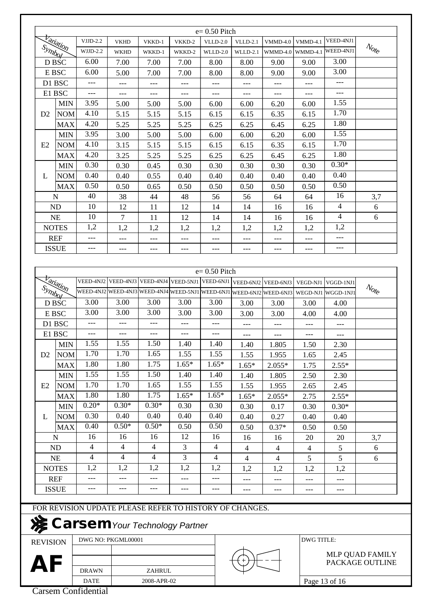|                |                            |                                       |                |                |                | $e=0.50$ Pitch |                                                                       |            |                |                |                                                    |
|----------------|----------------------------|---------------------------------------|----------------|----------------|----------------|----------------|-----------------------------------------------------------------------|------------|----------------|----------------|----------------------------------------------------|
|                |                            | $VJJD-2.2$                            | <b>VKHD</b>    | VKKD-1         | VKKD-2         | $VLLD-2.0$     | <b>VLLD-2.1</b>                                                       | $VMD-4.0$  | $VMMD-4.1$     | VEED-4NJ1      |                                                    |
|                | <b>Variation</b>           | $WJJD-2.2$                            | <b>WKHD</b>    | WKKD-1         | WKKD-2         | $WLLD-2.0$     | <b>WLLD-2.1</b>                                                       | $WMMD-4.0$ | WMMD-4.1       | WEED-4NJ1      | $\mathcal{N}_{\mathcal{O}_{\mathcal{E}}^{\prime}}$ |
|                | D BSC                      | 6.00                                  | 7.00           | 7.00           | 7.00           | 8.00           | 8.00                                                                  | 9.00       | 9.00           | 3.00           |                                                    |
|                | E BSC                      | 6.00                                  | 5.00           | 7.00           | 7.00           | 8.00           | 8.00                                                                  | 9.00       | 9.00           | 3.00           |                                                    |
|                | D1 BSC                     | ---                                   | ---            | $---$          |                | ---            | ---                                                                   | ---        | ---            | $---$          |                                                    |
|                | E1 BSC                     | ---                                   | $---$          | $---$          | $---$          | $---$          | ---                                                                   | ---        | $---$          | $---$          |                                                    |
|                | <b>MIN</b>                 | 3.95                                  | 5.00           | 5.00           | 5.00           | 6.00           | 6.00                                                                  | 6.20       | 6.00           | 1.55           |                                                    |
| D2             | <b>NOM</b>                 | 4.10                                  | 5.15           | 5.15           | 5.15           | 6.15           | 6.15                                                                  | 6.35       | 6.15           | 1.70           |                                                    |
|                | <b>MAX</b>                 | 4.20                                  | 5.25           | 5.25           | 5.25           | 6.25           | 6.25                                                                  | 6.45       | 6.25           | 1.80           |                                                    |
|                | <b>MIN</b>                 | 3.95                                  | 3.00           | 5.00           | 5.00           | 6.00           | 6.00                                                                  | 6.20       | 6.00           | 1.55           |                                                    |
| E <sub>2</sub> | <b>NOM</b>                 | 4.10                                  | 3.15           | 5.15           | 5.15           | 6.15           | 6.15                                                                  | 6.35       | 6.15           | 1.70           |                                                    |
|                | <b>MAX</b>                 | 4.20                                  | 3.25           | 5.25           | 5.25           | 6.25           | 6.25                                                                  | 6.45       | 6.25           | 1.80           |                                                    |
|                | <b>MIN</b>                 | 0.30                                  | 0.30           | 0.45           | 0.30           | 0.30           | 0.30                                                                  | 0.30       | 0.30           | $0.30*$        |                                                    |
| L              | <b>NOM</b>                 | 0.40                                  | 0.40           | 0.55           | 0.40           | 0.40           | 0.40                                                                  | 0.40       | 0.40           | 0.40           |                                                    |
|                | <b>MAX</b>                 | 0.50                                  | 0.50           | 0.65           | 0.50           | 0.50           | 0.50                                                                  | 0.50       | 0.50           | 0.50           |                                                    |
|                | N                          | 40                                    | 38             | 44             | 48             | 56             | 56                                                                    | 64         | 64             | 16             | 3,7                                                |
|                | <b>ND</b>                  | 10                                    | 12             | 11             | 12             | 14             | 14                                                                    | 16         | 16             | $\overline{4}$ | 6                                                  |
|                | NE                         | 10                                    | 7              | 11             | 12             | 14             | 14                                                                    | 16         | 16             | 4              | 6                                                  |
|                | <b>NOTES</b>               | 1,2                                   | 1,2            | 1,2            | 1,2            | 1,2            | 1,2                                                                   | 1,2        | 1,2            | 1,2            |                                                    |
|                | <b>REF</b>                 | ---                                   | $---$          | $---$          | $---$          | $---$          | ---                                                                   | $---$      | $---$          | $---$          |                                                    |
|                | <b>ISSUE</b>               | ---                                   | ---            | ---            | $---$          | ---            | ---                                                                   | ---        | $---$          | $---$          |                                                    |
|                | <b>Variation</b><br>Symbol |                                       |                |                |                |                | WEED-4NJ2 WEED-4NJ3 WEED-4NJ4 WEED-5NJ1 WEED-6NJ1 WEED-6NJ2 WEED-6NJ3 |            | WEGD-NJ1       | WGGD-1NJ1      | $\mathcal{N}_{\mathrm{O}f_{\mathrm{C}}}$           |
|                | D BSC                      | 3.00                                  | 3.00           | 3.00           | 3.00           | 3.00           | 3.00                                                                  | 3.00       | 3.00           | 4.00           |                                                    |
|                | E BSC                      | 3.00                                  | 3.00           | 3.00           | 3.00           | 3.00           | 3.00                                                                  | 3.00       | 4.00           | 4.00           |                                                    |
|                | D1 BSC                     |                                       | $---$          | $---$          | $---$          | $---$          | ---                                                                   | ---        | $---$          | ---            |                                                    |
|                | E1 BSC                     | $---$                                 | $---$          | $---$          | $---$          | $---$          | ---                                                                   | $---$      | $---$          | $---$          |                                                    |
|                | <b>MIN</b>                 | 1.55                                  | 1.55           | 1.50           | 1.40           | 1.40           | 1.40                                                                  | 1.805      | 1.50           | 2.30           |                                                    |
| D2             | <b>NOM</b>                 | 1.70                                  | 1.70           | 1.65           | 1.55           | 1.55           | 1.55                                                                  | 1.955      | 1.65           | 2.45           |                                                    |
|                | <b>MAX</b>                 | 1.80                                  | 1.80           | 1.75           | $1.65*$        | $1.65*$        | $1.65*$                                                               | $2.055*$   | 1.75           | $2.55*$        |                                                    |
|                | <b>MIN</b>                 | 1.55                                  | 1.55           | 1.50           | 1.40           | 1.40           | 1.40                                                                  | 1.805      | 2.50           | 2.30           |                                                    |
|                | <b>NOM</b>                 | 1.70                                  | 1.70           | 1.65           | 1.55           | 1.55           | 1.55                                                                  | 1.955      | 2.65           | 2.45           |                                                    |
|                | <b>MAX</b>                 | 1.80                                  | 1.80           | 1.75           | $1.65*$        | $1.65*$        | $1.65*$                                                               | $2.055*$   | 2.75           | $2.55*$        |                                                    |
|                |                            | $0.20*$                               |                |                |                |                |                                                                       |            |                |                |                                                    |
|                | <b>MIN</b>                 |                                       | $0.30*$        | $0.30*$        | 0.30           | 0.30           | 0.30                                                                  | 0.17       | 0.30           | $0.30*$        |                                                    |
| L              | <b>NOM</b>                 | 0.30                                  | 0.40           | 0.40           | 0.40           | 0.40           | 0.40                                                                  | 0.27       | 0.40           | 0.40           |                                                    |
|                | <b>MAX</b>                 | 0.40                                  | $0.50*$        | $0.50*$        | 0.50           | 0.50           | 0.50                                                                  | $0.37*$    | 0.50           | 0.50           |                                                    |
|                | $\mathbf N$                | 16                                    | 16             | 16             | 12             | 16             | 16                                                                    | 16         | 20             | 20             | 3,7                                                |
|                | ND                         | $\overline{\mathcal{A}}$              | $\overline{4}$ | $\overline{4}$ | 3              | $\overline{4}$ | $\overline{4}$                                                        | 4          | $\overline{4}$ | 5              | 6                                                  |
|                | NE                         | 4                                     | $\overline{4}$ | $\overline{4}$ | $\overline{3}$ | 4              | $\overline{4}$                                                        | 4          | 5              | 5              | 6                                                  |
| E2             | <b>NOTES</b>               | 1,2                                   | 1,2            | 1,2            | 1,2            | 1,2            | 1,2                                                                   | 1,2        | 1,2            | 1,2            |                                                    |
|                | <b>REF</b>                 | ---                                   | $---$          | $---$          |                | ---            | ---                                                                   | ---        | ---            | $---$          |                                                    |
|                | <b>ISSUE</b>               | ---                                   | $---$          | $---$          | ---            | $---$          | ---                                                                   | ---        | $---$          | $---$          |                                                    |
|                |                            |                                       |                |                |                |                | FOR REVISION UPDATE PLEASE REFER TO HISTORY OF CHANGES.               |            |                |                |                                                    |
| 凑              |                            | <b>Carsem</b> Your Technology Partner |                |                |                |                |                                                                       |            |                |                |                                                    |

REVISION

DRAWN DATE AF **DRAWN** ZAHRUL

2008-APR-02

PACKAGE OUTLINE MLP QUAD FAMILY

Page 13 of 16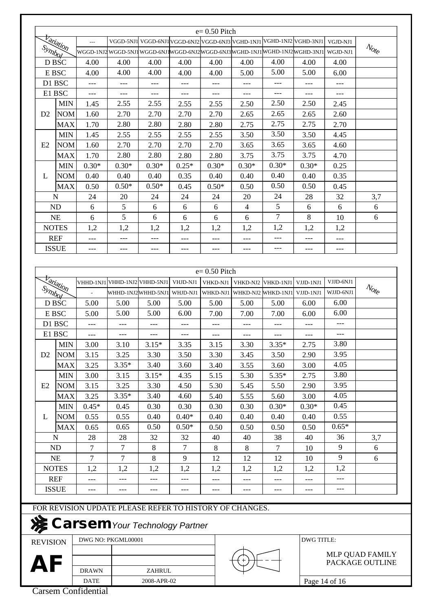|                 |                  |                                                         |                    |               |                                           | $e=0.50$ Pitch |                |                                                                                 |                   |                   |                                                         |
|-----------------|------------------|---------------------------------------------------------|--------------------|---------------|-------------------------------------------|----------------|----------------|---------------------------------------------------------------------------------|-------------------|-------------------|---------------------------------------------------------|
|                 | <b>Variation</b> | $\overline{a}$                                          |                    |               |                                           |                |                | VGGD-5NJ1 VGGD-6NJ1 VGGD-6NJ2 VGGD-6NJ3 VGHD-1NJ1 VGHD-1NJ2 VGHD-3NJ1           |                   | VGJD-NJ1          |                                                         |
| Symbol          |                  |                                                         |                    |               |                                           |                |                | WGGD-1NJ2 WGGD-5NJ1 WGGD-6NJ1 WGGD-6NJ2 WGGD-6NJ3 WGHD-1NJ1 WGHD-1NJ2 WGHD-3NJ1 |                   | WGJD-NJ1          | $\mathcal{N}_{\mathcal{O}_{\mathcal{E}_{\mathcal{C}}}}$ |
|                 | D BSC            | 4.00                                                    | 4.00               | 4.00          | 4.00                                      | 4.00           | 4.00           | 4.00                                                                            | 4.00              | 4.00              |                                                         |
|                 | E BSC            | 4.00                                                    | 4.00               | 4.00          | 4.00                                      | 4.00           | 5.00           | 5.00                                                                            | 5.00              | 6.00              |                                                         |
|                 | D1 BSC           | $---$                                                   |                    |               |                                           | $---$          | ---            | $---$                                                                           | $---$             | $---$             |                                                         |
|                 | E1 BSC           | ---                                                     | ---                | $---$         | ---                                       | ---            | ---            | ---                                                                             | ---               | ---               |                                                         |
|                 | <b>MIN</b>       | 1.45                                                    | 2.55               | 2.55          | 2.55                                      | 2.55           | 2.50           | 2.50                                                                            | 2.50              | 2.45              |                                                         |
| D2              | <b>NOM</b>       | 1.60                                                    | 2.70               | 2.70          | 2.70                                      | 2.70           | 2.65           | 2.65                                                                            | 2.65              | 2.60              |                                                         |
|                 | <b>MAX</b>       | 1.70                                                    | 2.80               | 2.80          | 2.80                                      | 2.80           | 2.75           | 2.75                                                                            | 2.75              | 2.70              |                                                         |
|                 | <b>MIN</b>       | 1.45                                                    | 2.55               | 2.55          | 2.55                                      | 2.55           | 3.50           | 3.50                                                                            | 3.50              | 4.45              |                                                         |
| E2              | <b>NOM</b>       | 1.60                                                    | 2.70               | 2.70          | 2.70                                      | 2.70           | 3.65           | 3.65                                                                            | 3.65              | 4.60              |                                                         |
|                 | <b>MAX</b>       | 1.70                                                    | 2.80               | 2.80          | 2.80                                      | 2.80           | 3.75           | 3.75                                                                            | 3.75              | 4.70              |                                                         |
|                 | <b>MIN</b>       | $0.30*$                                                 | $0.30*$            | $0.30*$       | $0.25*$                                   | $0.30*$        | $0.30*$        | $0.30*$                                                                         | $0.30*$           | 0.25              |                                                         |
| L               | <b>NOM</b>       | 0.40                                                    | 0.40               | 0.40          | 0.35                                      | 0.40           | 0.40           | 0.40                                                                            | 0.40              | 0.35              |                                                         |
|                 | <b>MAX</b>       | 0.50                                                    | $0.50*$            | $0.50*$       | 0.45                                      | $0.50*$        | 0.50           | 0.50                                                                            | 0.50              | 0.45              |                                                         |
|                 | N                | 24                                                      | 20                 | 24            | 24                                        | 24             | 20             | 24                                                                              | 28                | 32                | 3,7                                                     |
|                 | ND               | 6                                                       | 5                  | 6             | 6                                         | 6              | $\overline{4}$ | 5                                                                               | 6                 | 6                 | 6                                                       |
|                 | <b>NE</b>        | 6                                                       | 5                  | 6             | 6                                         | 6              | 6              | 7                                                                               | 8                 | 10                | 6                                                       |
|                 | <b>NOTES</b>     | 1,2                                                     | 1,2                | 1,2           | 1,2                                       | 1,2            | 1,2            | 1,2                                                                             | 1,2               | 1,2               |                                                         |
|                 | <b>REF</b>       | $---$                                                   | ---                | $---$         | ---                                       | $---$          | ---            | $---$                                                                           | $---$             | $---$             |                                                         |
|                 | <b>ISSUE</b>     | $---$                                                   | ---                | $---$         | ---                                       | $---$          | $---$          | $---$                                                                           | $---$             | $---$             |                                                         |
|                 |                  |                                                         |                    |               |                                           |                |                |                                                                                 |                   |                   |                                                         |
| Symbol          | <b>Fariation</b> | $\bar{\phantom{a}}$                                     |                    |               | WHHD-1NJ2  WHHD-5NJ1  WHJD-NJ1   WHKD-NJ1 |                |                | WHKD-NJ2  WHKD-1NJ1                                                             | VJJD-1NJ1         | WJJD-6NJ1<br>6.00 | $\mathcal{N}_{\mathrm{O} t_{\mathrm{C}}}$               |
|                 | D BSC            | 5.00                                                    | 5.00               | 5.00          | 5.00                                      | 5.00           | 5.00           | 5.00                                                                            | 6.00              |                   |                                                         |
|                 | E BSC            | 5.00                                                    | 5.00               | 5.00          | 6.00                                      | 7.00           | 7.00           | 7.00                                                                            | 6.00              | 6.00              |                                                         |
|                 | D1 BSC           | ---                                                     | ---                | ---           | ---                                       | ---            | ---            | ---                                                                             | $---$             | ---               |                                                         |
|                 | E1 BSC           | $---$                                                   | ---                | $---$         | $---$                                     | $---$          | $---$          | $---$                                                                           | $---$             | $---$             |                                                         |
|                 | <b>MIN</b>       | 3.00                                                    | 3.10               | $3.15*$       | 3.35                                      | 3.15           | 3.30           | $3.35*$                                                                         | 2.75              | 3.80              |                                                         |
| D2              | <b>NOM</b>       | 3.15                                                    | 3.25               | 3.30          | 3.50                                      | 3.30           | 3.45           | 3.50                                                                            | 2.90              | 3.95              |                                                         |
|                 | <b>MAX</b>       | 3.25                                                    | $3.35*$            | 3.40          | 3.60                                      | 3.40           | 3.55           | 3.60                                                                            | 3.00              | 4.05              |                                                         |
|                 | <b>MIN</b>       | 3.00                                                    | 3.15               | $3.15*$       | 4.35                                      | 5.15           | 5.30           | $5.35*$                                                                         | 2.75              | 3.80              |                                                         |
| E2              | <b>NOM</b>       | 3.15                                                    | 3.25               | 3.30          | 4.50                                      | 5.30           | 5.45           | 5.50                                                                            | 2.90              | 3.95              |                                                         |
|                 | <b>MAX</b>       | 3.25                                                    | $3.35*$            | 3.40          | 4.60                                      | 5.40           | 5.55           | 5.60                                                                            | 3.00              | 4.05              |                                                         |
|                 | <b>MIN</b>       | $0.45*$                                                 | 0.45               | 0.30          | 0.30                                      | 0.30           | 0.30           | $0.30*$                                                                         | $0.30*$           | 0.45              |                                                         |
| L               | <b>NOM</b>       | 0.55                                                    | 0.55               | 0.40          | $0.40*$                                   | 0.40           | 0.40           | 0.40                                                                            | 0.40              | 0.55              |                                                         |
|                 | <b>MAX</b>       | 0.65                                                    | 0.65               | 0.50          | $0.50*$                                   | 0.50           | 0.50           | 0.50                                                                            | 0.50              | $0.65*$           |                                                         |
|                 | $\mathbf N$      | 28                                                      | 28                 | 32            | 32                                        | 40             | 40             | 38                                                                              | 40                | 36                | 3,7                                                     |
|                 | ND               | $\tau$                                                  | $\tau$             | 8             | $\tau$                                    | 8              | 8              | 7                                                                               | 10                | 9                 | 6                                                       |
|                 | NE               | $\tau$                                                  | $\overline{7}$     | 8             | 9                                         | 12             | 12             | 12                                                                              | 10                | 9                 | 6                                                       |
|                 | <b>NOTES</b>     | 1,2                                                     | 1,2                | 1,2           | 1,2                                       | 1,2            | 1,2            | 1,2                                                                             | 1,2               | 1,2               |                                                         |
|                 | <b>REF</b>       | $---$                                                   |                    |               |                                           |                | ---            | ---                                                                             | ---               | $---$             |                                                         |
|                 | <b>ISSUE</b>     | $---$                                                   | ---                | $---$         | $---$                                     | ---            | ---            | $---$                                                                           | $---$             | $---$             |                                                         |
|                 |                  |                                                         |                    |               |                                           |                |                |                                                                                 |                   |                   |                                                         |
|                 |                  | FOR REVISION UPDATE PLEASE REFER TO HISTORY OF CHANGES. |                    |               |                                           |                |                |                                                                                 |                   |                   |                                                         |
|                 |                  | <b>Carsem</b> Your Technology Partner                   |                    |               |                                           |                |                |                                                                                 |                   |                   |                                                         |
|                 |                  |                                                         | DWG NO: PKGML00001 |               |                                           |                |                |                                                                                 | <b>DWG TITLE:</b> |                   |                                                         |
| <b>REVISION</b> |                  |                                                         |                    |               |                                           |                |                |                                                                                 |                   |                   |                                                         |
|                 |                  |                                                         |                    |               |                                           |                |                |                                                                                 |                   | MLP QUAD FAMILY   |                                                         |
| <b>AF</b>       |                  | <b>DRAWN</b>                                            |                    | <b>ZAHRUL</b> |                                           |                |                |                                                                                 |                   | PACKAGE OUTLINE   |                                                         |
|                 |                  |                                                         |                    |               |                                           |                |                |                                                                                 |                   |                   |                                                         |

2008-APR-02

Page 14 of 16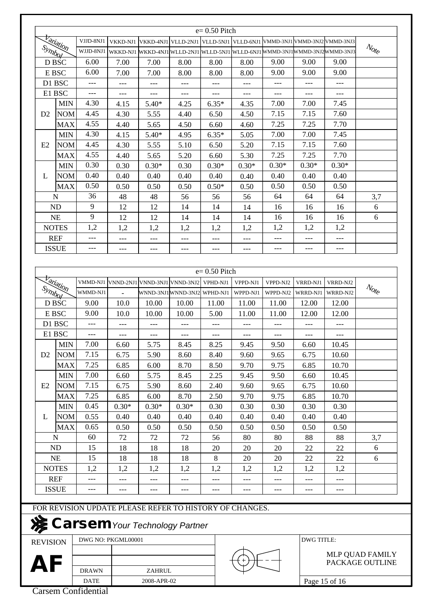|                 |                  |              |                          |                                                                       |         | $e=0.50$ Pitch |          |          |                   |                                                                       |                                                         |
|-----------------|------------------|--------------|--------------------------|-----------------------------------------------------------------------|---------|----------------|----------|----------|-------------------|-----------------------------------------------------------------------|---------------------------------------------------------|
|                 |                  | VJJD-8NJ1    | VKKD-NJ1                 |                                                                       |         |                |          |          |                   | VKKD-4NJ1 VLLD-2NJ1 VLLD-5NJ1 VLLD-6NJ1 VMMD-3NJ1 VMMD-3NJ2 VMMD-3NJ3 |                                                         |
| Symbol          | <b>Variation</b> | WJJD-8NJ1    | WKKD-NJ1                 | WKKD-4NJ1 WLLD-2NJ1 WLLD-5NJ1 WLLD-6NJ1 WMMD-3NJ1 WMMD-3NJ2 WMMD-3NJ3 |         |                |          |          |                   |                                                                       | $\mathcal{N}_{\mathcal{O}_{\mathcal{C}}^{k}}$           |
|                 | D BSC            | 6.00         | 7.00                     | 7.00                                                                  | 8.00    | 8.00           | 8.00     | 9.00     | 9.00              | 9.00                                                                  |                                                         |
|                 | E BSC            | 6.00         | 7.00                     | 7.00                                                                  | 8.00    | 8.00           | 8.00     | 9.00     | 9.00              | 9.00                                                                  |                                                         |
|                 |                  |              |                          |                                                                       |         |                |          |          |                   |                                                                       |                                                         |
|                 | D1 BSC           | $---$        | $---$                    | $---$                                                                 | $---$   | $---$          | $- -$    | ---      | ---               | $---$                                                                 |                                                         |
|                 | E1 BSC           | $---$        | ---                      | $---$                                                                 | ---     | $---$          | ---      | ---      | ---               | ---                                                                   |                                                         |
|                 | <b>MIN</b>       | 4.30         | 4.15                     | $5.40*$                                                               | 4.25    | $6.35*$        | 4.35     | 7.00     | 7.00              | 7.45                                                                  |                                                         |
| D <sub>2</sub>  | <b>NOM</b>       | 4.45         | 4.30                     | 5.55                                                                  | 4.40    | 6.50           | 4.50     | 7.15     | 7.15              | 7.60                                                                  |                                                         |
|                 | <b>MAX</b>       | 4.55         | 4.40                     | 5.65                                                                  | 4.50    | 6.60           | 4.60     | 7.25     | 7.25              | 7.70                                                                  |                                                         |
|                 | <b>MIN</b>       | 4.30         | 4.15                     | $5.40*$                                                               | 4.95    | $6.35*$        | 5.05     | 7.00     | 7.00              | 7.45                                                                  |                                                         |
| E2              | <b>NOM</b>       | 4.45         | 4.30                     | 5.55                                                                  | 5.10    | 6.50           | 5.20     | 7.15     | 7.15              | 7.60                                                                  |                                                         |
|                 | <b>MAX</b>       | 4.55         | 4.40                     | 5.65                                                                  | 5.20    | 6.60           | 5.30     | 7.25     | 7.25              | 7.70                                                                  |                                                         |
|                 | <b>MIN</b>       | 0.30         | 0.30                     | $0.30*$                                                               | 0.30    | $0.30*$        | $0.30*$  | $0.30*$  | $0.30*$           | $0.30*$                                                               |                                                         |
| L               | <b>NOM</b>       | 0.40         | 0.40                     | 0.40                                                                  | 0.40    | 0.40           | 0.40     | 0.40     | 0.40              | 0.40                                                                  |                                                         |
|                 | <b>MAX</b>       | 0.50         | 0.50                     | 0.50                                                                  | 0.50    | $0.50*$        | 0.50     | 0.50     | 0.50              | 0.50                                                                  |                                                         |
|                 | N                | 36           | 48                       | 48                                                                    | 56      | 56             | 56       | 64       | 64                | 64                                                                    | 3,7                                                     |
|                 | <b>ND</b>        | 9            | 12                       | 12                                                                    | 14      | 14             | 14       | 16       | 16                | 16                                                                    | 6                                                       |
|                 | <b>NE</b>        | 9            | 12                       | 12                                                                    | 14      | 14             | 14       | 16       | 16                | 16                                                                    | 6                                                       |
|                 | <b>NOTES</b>     | 1,2          | 1,2                      | 1,2                                                                   | 1,2     | 1,2            | 1,2      | 1,2      | 1,2               | 1,2                                                                   |                                                         |
|                 | <b>REF</b>       | $---$        | ---                      | ---                                                                   | $---$   | $---$          | $---$    | $---$    | $---$             | $---$                                                                 |                                                         |
|                 | <b>ISSUE</b>     | $---$        | $---$                    | $---$                                                                 | $---$   | $---$          | $---$    | $---$    | $---$             | $---$                                                                 |                                                         |
|                 |                  |              |                          |                                                                       |         |                |          |          |                   |                                                                       |                                                         |
|                 |                  |              |                          |                                                                       |         | $e=0.50$ Pitch |          |          |                   |                                                                       |                                                         |
|                 |                  | VMMD-NJ1     |                          |                                                                       |         |                |          |          |                   |                                                                       |                                                         |
|                 | <b>Variation</b> |              | VNND-2NJ1                | VNND-3NJ1 VNND-3NJ2                                                   |         | VPHD-NJ1       | VPPD-NJ1 | VPPD-NJ2 | VRRD-NJ1          | VRRD-NJ2                                                              | $\mathcal{N}_{\mathcal{O}_{\mathcal{E}_{\mathcal{C}}}}$ |
| Symbol          |                  | WMMD-NJ1     | $\overline{\phantom{a}}$ | WNND-3NJ1WNND-3NJ2 WPHD-NJ1                                           |         |                | WPPD-NJ1 | WPPD-NJ2 | WRRD-NJ1          | WRRD-NJ2                                                              |                                                         |
|                 | D BSC            | 9.00         | 10.0                     | 10.00                                                                 | 10.00   | 11.00          | 11.00    | 11.00    | 12.00             | 12.00                                                                 |                                                         |
|                 | E BSC            | 9.00         | 10.0                     | 10.00                                                                 | 10.00   | 5.00           | 11.00    | 11.00    | 12.00             | 12.00                                                                 |                                                         |
|                 | D1 BSC           | $---$        |                          |                                                                       | $---$   | $---$          | $---$    | $---$    | $---$             | $---$                                                                 |                                                         |
|                 | E1 BSC           | ---          | $---$                    | ---                                                                   | $---$   |                | ---      | $---$    | $---$             | $---$                                                                 |                                                         |
|                 | <b>MIN</b>       | 7.00         | 6.60                     | 5.75                                                                  | 8.45    | 8.25           | 9.45     | 9.50     | 6.60              | 10.45                                                                 |                                                         |
| D2              | <b>NOM</b>       | 7.15         | 6.75                     | 5.90                                                                  | 8.60    | 8.40           | 9.60     | 9.65     | 6.75              | 10.60                                                                 |                                                         |
|                 | <b>MAX</b>       | 7.25         | 6.85                     | 6.00                                                                  | 8.70    | 8.50           | 9.70     | 9.75     | 6.85              | 10.70                                                                 |                                                         |
|                 | <b>MIN</b>       | 7.00         | 6.60                     | 5.75                                                                  | 8.45    | 2.25           | 9.45     | 9.50     | 6.60              | 10.45                                                                 |                                                         |
| E2              | <b>NOM</b>       | 7.15         | 6.75                     | 5.90                                                                  | 8.60    | 2.40           | 9.60     | 9.65     | 6.75              | 10.60                                                                 |                                                         |
|                 | <b>MAX</b>       | 7.25         | 6.85                     | 6.00                                                                  | 8.70    | 2.50           | 9.70     | 9.75     | 6.85              | 10.70                                                                 |                                                         |
|                 | <b>MIN</b>       | 0.45         | $0.30*$                  | $0.30*$                                                               | $0.30*$ | 0.30           | 0.30     | 0.30     | 0.30              | 0.30                                                                  |                                                         |
| L               | <b>NOM</b>       | 0.55         | 0.40                     | 0.40                                                                  | 0.40    | 0.40           | 0.40     | 0.40     | 0.40              | 0.40                                                                  |                                                         |
|                 | <b>MAX</b>       | 0.65         | 0.50                     | 0.50                                                                  | 0.50    | 0.50           | 0.50     | 0.50     | 0.50              | 0.50                                                                  |                                                         |
|                 | N                | 60           | 72                       | 72                                                                    | 72      | 56             | 80       | 80       | 88                | 88                                                                    | 3,7                                                     |
|                 | ND               | 15           | 18                       | 18                                                                    | 18      | 20             | 20       | 20       | 22                | 22                                                                    | 6                                                       |
|                 | NE               | 15           | 18                       | 18                                                                    | 18      | 8              | 20       | 20       | 22                | 22                                                                    | 6                                                       |
|                 | <b>NOTES</b>     | 1,2          | 1,2                      | 1,2                                                                   | 1,2     | 1,2            | 1,2      | 1,2      | 1,2               | 1,2                                                                   |                                                         |
|                 |                  |              |                          |                                                                       |         |                |          |          |                   |                                                                       |                                                         |
|                 | <b>REF</b>       | ---          | $---$                    | ---                                                                   | ---     | $---$          | ---      | ---      | ---               | ---                                                                   |                                                         |
|                 | <b>ISSUE</b>     | $---$        | ---                      | ---                                                                   | $---$   | ---            | ---      | $---$    | ---               | ---                                                                   |                                                         |
|                 |                  |              |                          | FOR REVISION UPDATE PLEASE REFER TO HISTORY OF CHANGES.               |         |                |          |          |                   |                                                                       |                                                         |
|                 |                  |              |                          |                                                                       |         |                |          |          |                   |                                                                       |                                                         |
|                 |                  |              |                          | Sarsem Your Technology Partner                                        |         |                |          |          |                   |                                                                       |                                                         |
|                 |                  |              |                          |                                                                       |         |                |          |          |                   |                                                                       |                                                         |
| <b>REVISION</b> |                  |              | DWG NO: PKGML00001       |                                                                       |         |                |          |          | <b>DWG TITLE:</b> |                                                                       |                                                         |
|                 |                  |              |                          |                                                                       |         |                |          |          |                   |                                                                       | MLP QUAD FAMILY                                         |
| AF              |                  |              |                          |                                                                       |         |                |          |          |                   |                                                                       | PACKAGE OUTLINE                                         |
|                 |                  | <b>DRAWN</b> |                          | ZAHRUL                                                                |         |                |          |          |                   |                                                                       |                                                         |

DATE

2008-APR-02

Page 15 of 16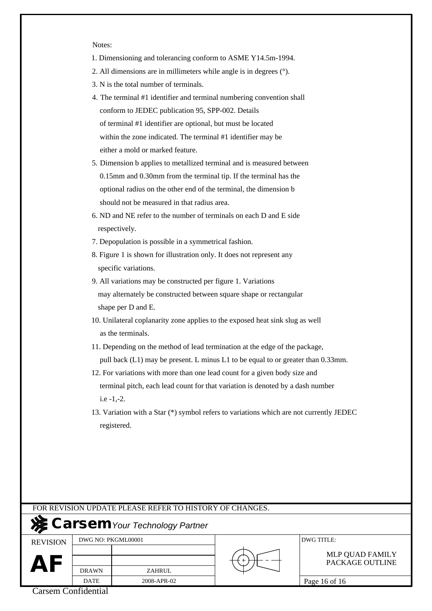Notes:

- 1. Dimensioning and tolerancing conform to ASME Y14.5m-1994.
- 2. All dimensions are in millimeters while angle is in degrees (°).
- 3. N is the total number of terminals.
- 4. The terminal #1 identifier and terminal numbering convention shall conform to JEDEC publication 95, SPP-002. Details of terminal #1 identifier are optional, but must be located within the zone indicated. The terminal #1 identifier may be either a mold or marked feature.
- 5. Dimension b applies to metallized terminal and is measured between 0.15mm and 0.30mm from the terminal tip. If the terminal has the optional radius on the other end of the terminal, the dimension b should not be measured in that radius area.
- 6. ND and NE refer to the number of terminals on each D and E side respectively.
- 7. Depopulation is possible in a symmetrical fashion.
- 8. Figure 1 is shown for illustration only. It does not represent any specific variations.
- 9. All variations may be constructed per figure 1. Variations may alternately be constructed between square shape or rectangular shape per D and E.
- 10. Unilateral coplanarity zone applies to the exposed heat sink slug as well as the terminals.
- 11. Depending on the method of lead termination at the edge of the package, pull back (L1) may be present. L minus L1 to be equal to or greater than 0.33mm.
- 12. For variations with more than one lead count for a given body size and terminal pitch, each lead count for that variation is denoted by a dash number i.e -1,-2.
- 13. Variation with a Star (\*) symbol refers to variations which are not currently JEDEC registered.

|                 |                    | FOR REVISION UPDATE PLEASE REFER TO HISTORY OF CHANGES. |                                    |
|-----------------|--------------------|---------------------------------------------------------|------------------------------------|
|                 |                    | <b>X</b> Carsem Your Technology Partner                 |                                    |
| <b>REVISION</b> | DWG NO: PKGML00001 |                                                         | DWG TITLE:                         |
| AI              | <b>DRAWN</b>       | <b>ZAHRUL</b>                                           | MLP QUAD FAMILY<br>PACKAGE OUTLINE |
|                 | <b>DATE</b>        | 2008-APR-02                                             | Page 16 of 16                      |